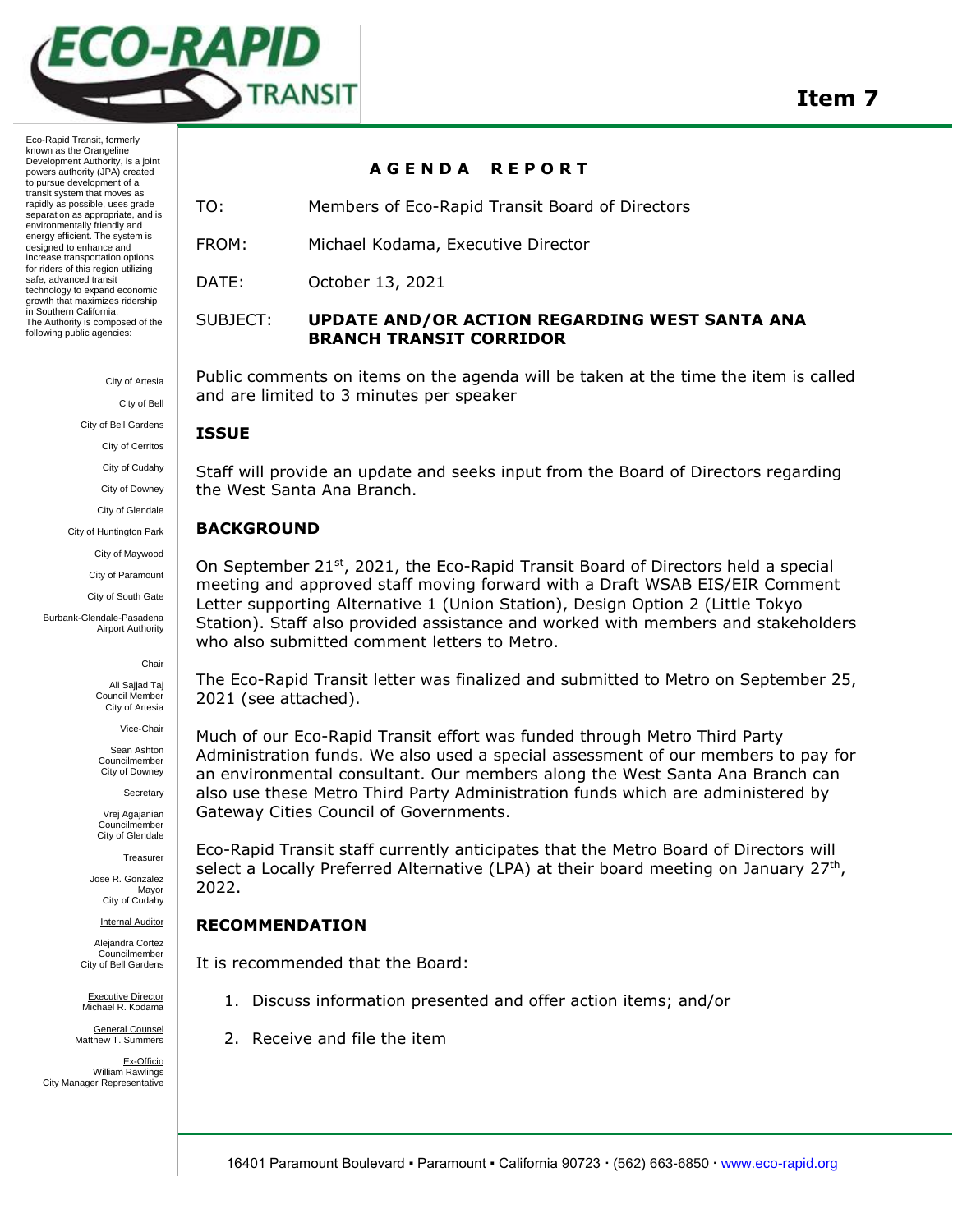

> City of Artesia City of Bell City of Bell Gardens City of Cerritos City of Cudahy City of Downey City of Glendale City of Huntington Park

> > City of Maywood City of Paramount

City of South Gate

Burbank-Glendale-Pasadena Airport Authority

#### **Chair**

Ali Sajjad Taj Council Membe City of Artesia

Vice-Chair

Sean Ashton Councilmember City of Downey

Secretary

Vrej Agajanian Councilmember City of Glendale

**Treasurer** 

Jose R. Gonzalez Mayor City of Cudahy

**Internal Auditor** 

Alejandra Cortez Councilmember City of Bell Gardens

Executive Director Michael R. Kodama

General Counsel Matthew T. Summers

Ex-Officio William Rawlings City Manager Representative

## **A G E N D A R E P O R T**

TO: Members of Eco-Rapid Transit Board of Directors

FROM: Michael Kodama, Executive Director

DATE: October 13, 2021

## SUBJECT: **UPDATE AND/OR ACTION REGARDING WEST SANTA ANA BRANCH TRANSIT CORRIDOR**

Public comments on items on the agenda will be taken at the time the item is called and are limited to 3 minutes per speaker

## **ISSUE**

Staff will provide an update and seeks input from the Board of Directors regarding the West Santa Ana Branch.

## **BACKGROUND**

On September 21<sup>st</sup>, 2021, the Eco-Rapid Transit Board of Directors held a special meeting and approved staff moving forward with a Draft WSAB EIS/EIR Comment Letter supporting Alternative 1 (Union Station), Design Option 2 (Little Tokyo Station). Staff also provided assistance and worked with members and stakeholders who also submitted comment letters to Metro.

The Eco-Rapid Transit letter was finalized and submitted to Metro on September 25, 2021 (see attached).

Much of our Eco-Rapid Transit effort was funded through Metro Third Party Administration funds. We also used a special assessment of our members to pay for an environmental consultant. Our members along the West Santa Ana Branch can also use these Metro Third Party Administration funds which are administered by Gateway Cities Council of Governments.

Eco-Rapid Transit staff currently anticipates that the Metro Board of Directors will select a Locally Preferred Alternative (LPA) at their board meeting on January 27<sup>th</sup>, 2022.

# **RECOMMENDATION**

It is recommended that the Board:

- 1. Discuss information presented and offer action items; and/or
- 2. Receive and file the item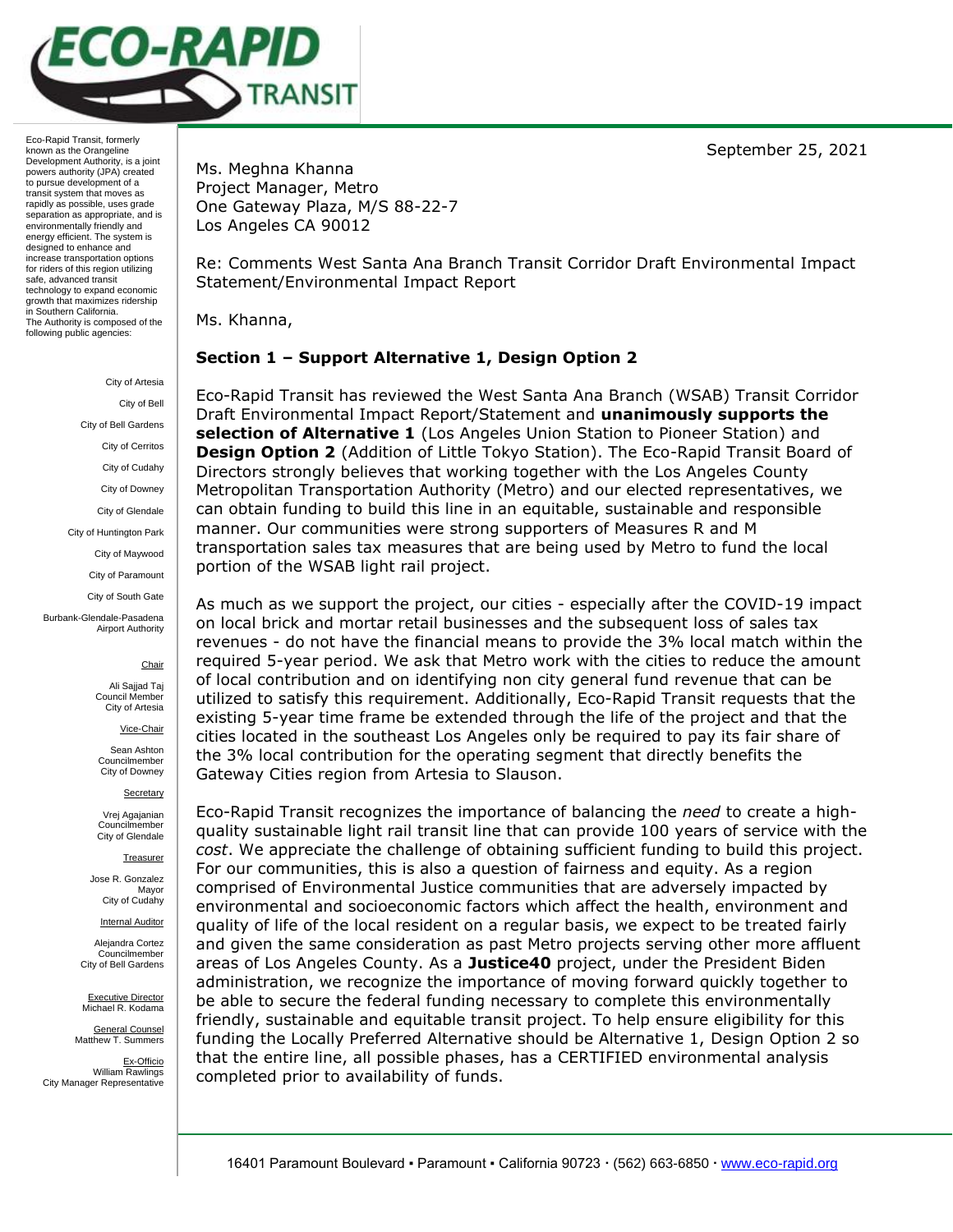September 25, 2021



Eco-Rapid Transit, formerly known as the Orangeline Development Authority, is a joint powers authority (JPA) created to pursue development of a transit system that moves as rapidly as possible, uses grade separation as appropriate, and is environmentally friendly and energy efficient. The system is designed to enhance and increase transportation options for riders of this region utilizing safe, advanced transit technology to expand economic growth that maximizes ridership in Southern California. The Authority is composed of the following public agencies:

> City of Artesia City of Bell City of Bell Gardens City of Cerritos City of Cudahy City of Downey City of Glendale City of Huntington Park City of Maywood City of Paramount City of South Gate Burbank-Glendale-Pasadena Airport Authority **Chair**

Ali Sajjad Taj Council Member City of Artesia

Vice-Chair

Sean Ashton Councilmember City of Downey

**Secretary** 

Vrej Agajanian Councilmember City of Glendale

**Treasurer** 

Jose R. Gonzalez Mayor City of Cudahy

Internal Auditor

Alejandra Cortez Councilmember City of Bell Gardens

Executive Director Michael R. Kodama

General Counsel Matthew T. Summers

Ex-Officio William Rawlings City Manager Representative

Ms. Meghna Khanna Project Manager, Metro One Gateway Plaza, M/S 88-22-7 Los Angeles CA 90012

Re: Comments West Santa Ana Branch Transit Corridor Draft Environmental Impact Statement/Environmental Impact Report

Ms. Khanna,

## **Section 1 – Support Alternative 1, Design Option 2**

Eco-Rapid Transit has reviewed the West Santa Ana Branch (WSAB) Transit Corridor Draft Environmental Impact Report/Statement and **unanimously supports the selection of Alternative 1** (Los Angeles Union Station to Pioneer Station) and **Design Option 2** (Addition of Little Tokyo Station). The Eco-Rapid Transit Board of Directors strongly believes that working together with the Los Angeles County Metropolitan Transportation Authority (Metro) and our elected representatives, we can obtain funding to build this line in an equitable, sustainable and responsible manner. Our communities were strong supporters of Measures R and M transportation sales tax measures that are being used by Metro to fund the local portion of the WSAB light rail project.

As much as we support the project, our cities - especially after the COVID-19 impact on local brick and mortar retail businesses and the subsequent loss of sales tax revenues - do not have the financial means to provide the 3% local match within the required 5-year period. We ask that Metro work with the cities to reduce the amount of local contribution and on identifying non city general fund revenue that can be utilized to satisfy this requirement. Additionally, Eco-Rapid Transit requests that the existing 5-year time frame be extended through the life of the project and that the cities located in the southeast Los Angeles only be required to pay its fair share of the 3% local contribution for the operating segment that directly benefits the Gateway Cities region from Artesia to Slauson.

Eco-Rapid Transit recognizes the importance of balancing the *need* to create a highquality sustainable light rail transit line that can provide 100 years of service with the *cost*. We appreciate the challenge of obtaining sufficient funding to build this project. For our communities, this is also a question of fairness and equity. As a region comprised of Environmental Justice communities that are adversely impacted by environmental and socioeconomic factors which affect the health, environment and quality of life of the local resident on a regular basis, we expect to be treated fairly and given the same consideration as past Metro projects serving other more affluent areas of Los Angeles County. As a **Justice40** project, under the President Biden administration, we recognize the importance of moving forward quickly together to be able to secure the federal funding necessary to complete this environmentally friendly, sustainable and equitable transit project. To help ensure eligibility for this funding the Locally Preferred Alternative should be Alternative 1, Design Option 2 so that the entire line, all possible phases, has a CERTIFIED environmental analysis completed prior to availability of funds.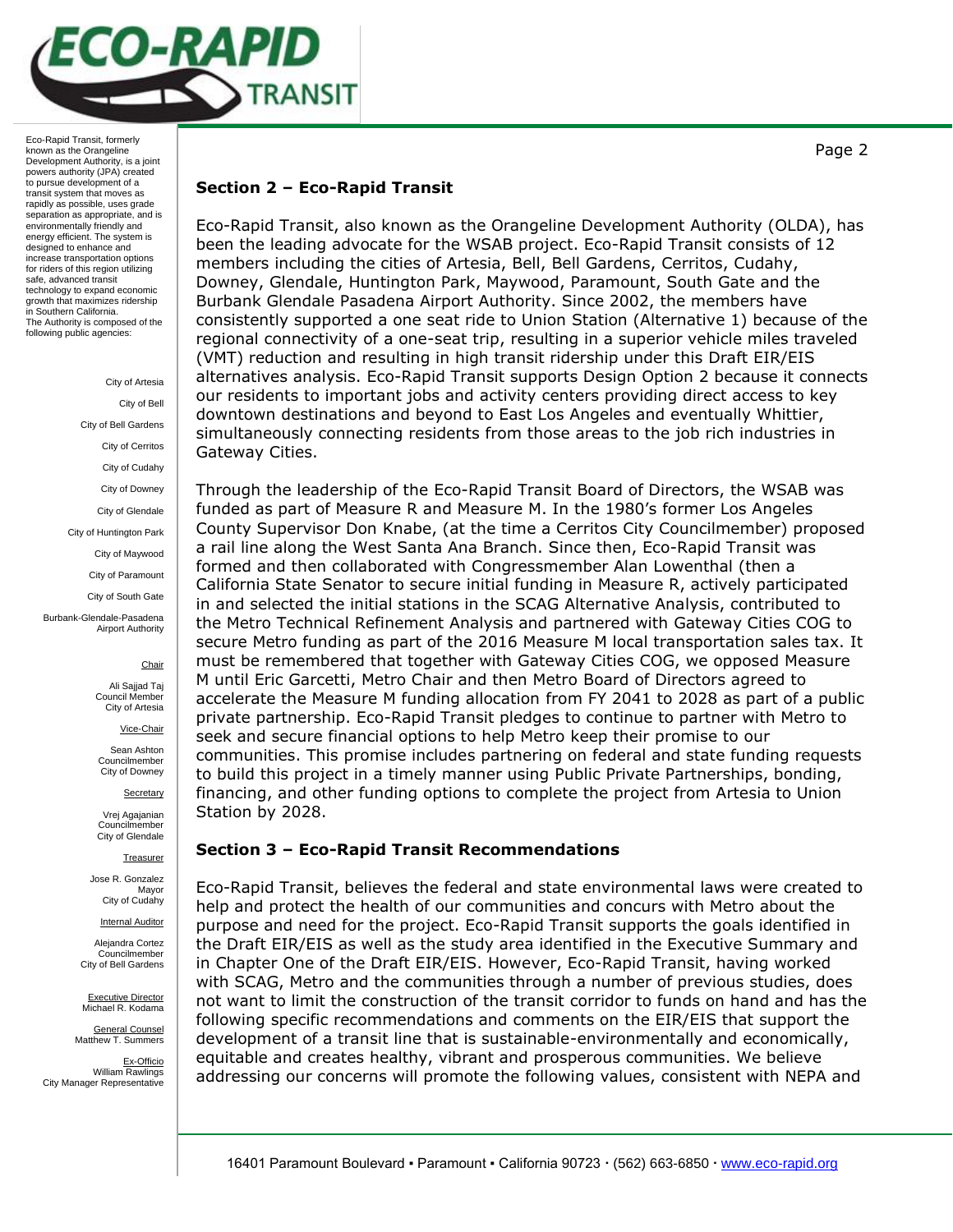

> City of Artesia City of Bell City of Bell Gardens City of Cerritos City of Cudahy City of Downey City of Glendale City of Huntington Park City of Maywood City of Paramount City of South Gate Burbank-Glendale-Pasadena Airport Authority

## **Chair**

Ali Sajjad Taj Council Member City of Artesia

Vice-Chair

Sean Ashton Councilmember City of Downey

**Secretary** 

Vrej Agajanian Councilmember City of Glendale

**Treasurer** 

Jose R. Gonzalez Mayor City of Cudahy

Internal Auditor

Alejandra Cortez Councilmember City of Bell Gardens

Executive Director Michael R. Kodama

General Counsel Matthew T. Summers

Ex-Officio William Rawlings City Manager Representative

## **Section 2 – Eco-Rapid Transit**

Eco-Rapid Transit, also known as the Orangeline Development Authority (OLDA), has been the leading advocate for the WSAB project. Eco-Rapid Transit consists of 12 members including the cities of Artesia, Bell, Bell Gardens, Cerritos, Cudahy, Downey, Glendale, Huntington Park, Maywood, Paramount, South Gate and the Burbank Glendale Pasadena Airport Authority. Since 2002, the members have consistently supported a one seat ride to Union Station (Alternative 1) because of the regional connectivity of a one-seat trip, resulting in a superior vehicle miles traveled (VMT) reduction and resulting in high transit ridership under this Draft EIR/EIS alternatives analysis. Eco-Rapid Transit supports Design Option 2 because it connects our residents to important jobs and activity centers providing direct access to key downtown destinations and beyond to East Los Angeles and eventually Whittier, simultaneously connecting residents from those areas to the job rich industries in Gateway Cities.

Through the leadership of the Eco-Rapid Transit Board of Directors, the WSAB was funded as part of Measure R and Measure M. In the 1980's former Los Angeles County Supervisor Don Knabe, (at the time a Cerritos City Councilmember) proposed a rail line along the West Santa Ana Branch. Since then, Eco-Rapid Transit was formed and then collaborated with Congressmember Alan Lowenthal (then a California State Senator to secure initial funding in Measure R, actively participated in and selected the initial stations in the SCAG Alternative Analysis, contributed to the Metro Technical Refinement Analysis and partnered with Gateway Cities COG to secure Metro funding as part of the 2016 Measure M local transportation sales tax. It must be remembered that together with Gateway Cities COG, we opposed Measure M until Eric Garcetti, Metro Chair and then Metro Board of Directors agreed to accelerate the Measure M funding allocation from FY 2041 to 2028 as part of a public private partnership. Eco-Rapid Transit pledges to continue to partner with Metro to seek and secure financial options to help Metro keep their promise to our communities. This promise includes partnering on federal and state funding requests to build this project in a timely manner using Public Private Partnerships, bonding, financing, and other funding options to complete the project from Artesia to Union Station by 2028.

## **Section 3 – Eco-Rapid Transit Recommendations**

Eco-Rapid Transit, believes the federal and state environmental laws were created to help and protect the health of our communities and concurs with Metro about the purpose and need for the project. Eco-Rapid Transit supports the goals identified in the Draft EIR/EIS as well as the study area identified in the Executive Summary and in Chapter One of the Draft EIR/EIS. However, Eco-Rapid Transit, having worked with SCAG, Metro and the communities through a number of previous studies, does not want to limit the construction of the transit corridor to funds on hand and has the following specific recommendations and comments on the EIR/EIS that support the development of a transit line that is sustainable-environmentally and economically, equitable and creates healthy, vibrant and prosperous communities. We believe addressing our concerns will promote the following values, consistent with NEPA and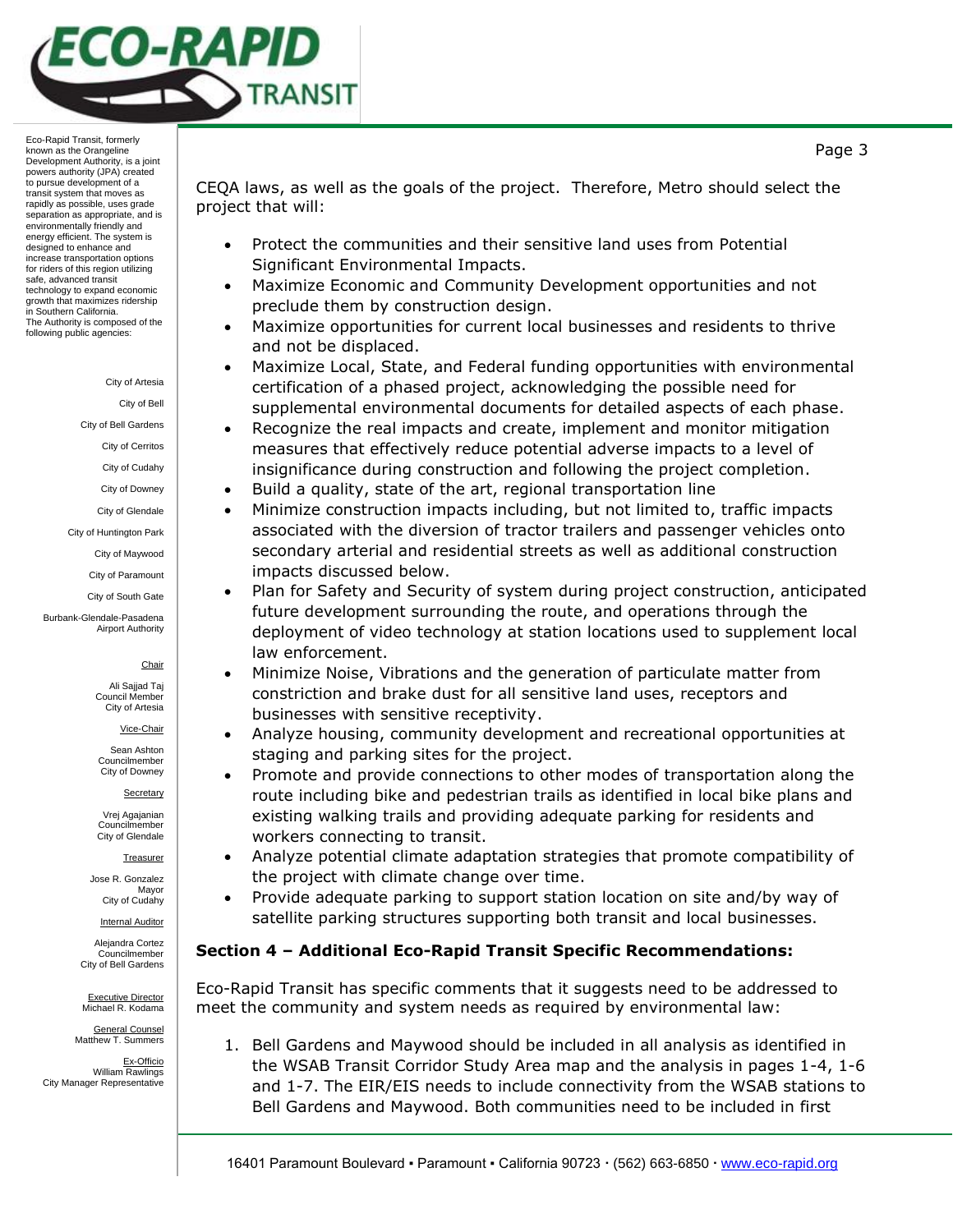

City of Artesia

City of Bell

City of Bell Gardens

City of Cerritos City of Cudahy

City of Downey

City of Glendale

City of Huntington Park City of Maywood

City of Paramount

City of South Gate

Burbank-Glendale-Pasadena Airport Authority

#### **Chair**

Ali Sajjad Taj Council Member City of Artesia

#### Vice-Chair

Sean Ashton Councilmember City of Downey

Secretary

Vrej Agajanian Councilmember City of Glendale

**Treasurer** 

Jose R. Gonzalez Mayor City of Cudahy

Internal Auditor

Alejandra Cortez Councilmember City of Bell Gardens

Executive Director Michael R. Kodama

General Counsel Matthew T. Summers

Ex-Officio William Rawlings City Manager Representative

CEQA laws, as well as the goals of the project. Therefore, Metro should select the project that will:

- Protect the communities and their sensitive land uses from Potential Significant Environmental Impacts.
- Maximize Economic and Community Development opportunities and not preclude them by construction design.
- Maximize opportunities for current local businesses and residents to thrive and not be displaced.
- Maximize Local, State, and Federal funding opportunities with environmental certification of a phased project, acknowledging the possible need for supplemental environmental documents for detailed aspects of each phase.
- Recognize the real impacts and create, implement and monitor mitigation measures that effectively reduce potential adverse impacts to a level of insignificance during construction and following the project completion.
- Build a quality, state of the art, regional transportation line
- Minimize construction impacts including, but not limited to, traffic impacts associated with the diversion of tractor trailers and passenger vehicles onto secondary arterial and residential streets as well as additional construction impacts discussed below.
- Plan for Safety and Security of system during project construction, anticipated future development surrounding the route, and operations through the deployment of video technology at station locations used to supplement local law enforcement.
- Minimize Noise, Vibrations and the generation of particulate matter from constriction and brake dust for all sensitive land uses, receptors and businesses with sensitive receptivity.
- Analyze housing, community development and recreational opportunities at staging and parking sites for the project.
- Promote and provide connections to other modes of transportation along the route including bike and pedestrian trails as identified in local bike plans and existing walking trails and providing adequate parking for residents and workers connecting to transit.
- Analyze potential climate adaptation strategies that promote compatibility of the project with climate change over time.
- Provide adequate parking to support station location on site and/by way of satellite parking structures supporting both transit and local businesses.

## **Section 4 – Additional Eco-Rapid Transit Specific Recommendations:**

Eco-Rapid Transit has specific comments that it suggests need to be addressed to meet the community and system needs as required by environmental law:

1. Bell Gardens and Maywood should be included in all analysis as identified in the WSAB Transit Corridor Study Area map and the analysis in pages 1-4, 1-6 and 1-7. The EIR/EIS needs to include connectivity from the WSAB stations to Bell Gardens and Maywood. Both communities need to be included in first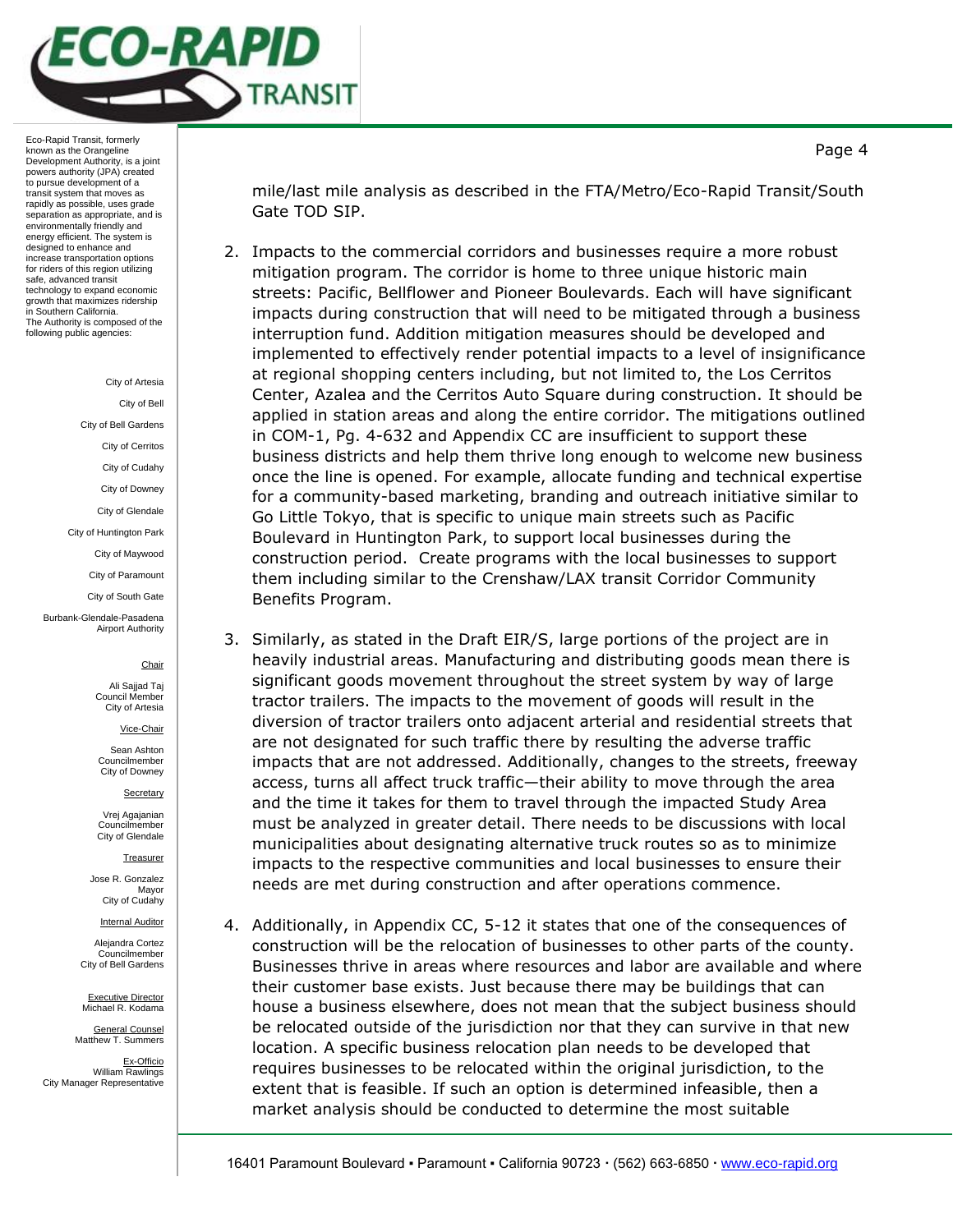

#### City of Artesia

City of Bell

City of Bell Gardens

City of Cerritos City of Cudahy

City of Downey

City of Glendale

City of Huntington Park

City of Maywood

City of Paramount

City of South Gate

Burbank-Glendale-Pasadena Airport Authority

### **Chair**

Ali Sajjad Taj Council Member City of Artesia

Vice-Chair

Sean Ashton Councilmember City of Downey

**Secretary** 

Vrej Agajanian Councilmember City of Glendale

**Treasurer** 

Jose R. Gonzalez Mayor City of Cudahy

Internal Auditor

Alejandra Cortez Councilmember City of Bell Gardens

Executive Director Michael R. Kodama

General Counsel Matthew T. Summers

Ex-Officio William Rawlings City Manager Representative mile/last mile analysis as described in the FTA/Metro/Eco-Rapid Transit/South Gate TOD SIP.

- 2. Impacts to the commercial corridors and businesses require a more robust mitigation program. The corridor is home to three unique historic main streets: Pacific, Bellflower and Pioneer Boulevards. Each will have significant impacts during construction that will need to be mitigated through a business interruption fund. Addition mitigation measures should be developed and implemented to effectively render potential impacts to a level of insignificance at regional shopping centers including, but not limited to, the Los Cerritos Center, Azalea and the Cerritos Auto Square during construction. It should be applied in station areas and along the entire corridor. The mitigations outlined in COM-1, Pg. 4-632 and Appendix CC are insufficient to support these business districts and help them thrive long enough to welcome new business once the line is opened. For example, allocate funding and technical expertise for a community-based marketing, branding and outreach initiative similar to Go Little Tokyo, that is specific to unique main streets such as Pacific Boulevard in Huntington Park, to support local businesses during the construction period. Create programs with the local businesses to support them including similar to the Crenshaw/LAX transit Corridor Community Benefits Program.
- 3. Similarly, as stated in the Draft EIR/S, large portions of the project are in heavily industrial areas. Manufacturing and distributing goods mean there is significant goods movement throughout the street system by way of large tractor trailers. The impacts to the movement of goods will result in the diversion of tractor trailers onto adjacent arterial and residential streets that are not designated for such traffic there by resulting the adverse traffic impacts that are not addressed. Additionally, changes to the streets, freeway access, turns all affect truck traffic—their ability to move through the area and the time it takes for them to travel through the impacted Study Area must be analyzed in greater detail. There needs to be discussions with local municipalities about designating alternative truck routes so as to minimize impacts to the respective communities and local businesses to ensure their needs are met during construction and after operations commence.
- 4. Additionally, in Appendix CC, 5-12 it states that one of the consequences of construction will be the relocation of businesses to other parts of the county. Businesses thrive in areas where resources and labor are available and where their customer base exists. Just because there may be buildings that can house a business elsewhere, does not mean that the subject business should be relocated outside of the jurisdiction nor that they can survive in that new location. A specific business relocation plan needs to be developed that requires businesses to be relocated within the original jurisdiction, to the extent that is feasible. If such an option is determined infeasible, then a market analysis should be conducted to determine the most suitable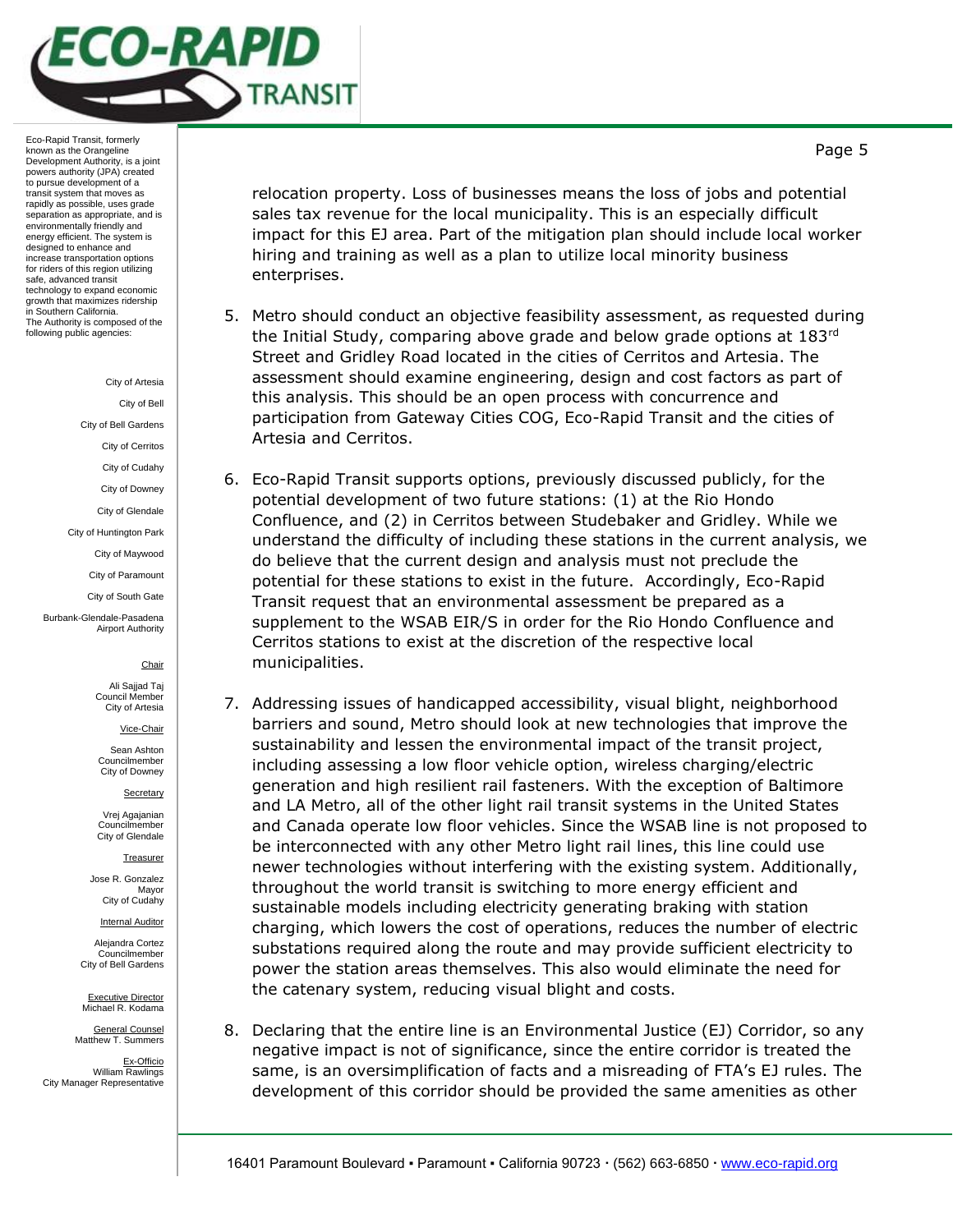

City of Artesia

City of Bell

City of Bell Gardens

City of Cerritos

City of Cudahy

City of Downey

City of Glendale

City of Huntington Park

City of Maywood

City of Paramount

City of South Gate

Burbank-Glendale-Pasadena Airport Authority

#### **Chair**

Ali Sajjad Taj Council Membe City of Artesia

Vice-Chair

Sean Ashton Councilmember City of Downey

**Secretary** 

Vrej Agajanian Councilmember City of Glendale

**Treasurer** 

Jose R. Gonzalez Mayor City of Cudahy

Internal Auditor

Alejandra Cortez Councilmember City of Bell Gardens

Executive Director Michael R. Kodama

General Counsel Matthew T. Summers

Ex-Officio William Rawlings City Manager Representative

relocation property. Loss of businesses means the loss of jobs and potential sales tax revenue for the local municipality. This is an especially difficult impact for this EJ area. Part of the mitigation plan should include local worker hiring and training as well as a plan to utilize local minority business enterprises.

- 5. Metro should conduct an objective feasibility assessment, as requested during the Initial Study, comparing above grade and below grade options at  $183<sup>rd</sup>$ Street and Gridley Road located in the cities of Cerritos and Artesia. The assessment should examine engineering, design and cost factors as part of this analysis. This should be an open process with concurrence and participation from Gateway Cities COG, Eco-Rapid Transit and the cities of Artesia and Cerritos.
- 6. Eco-Rapid Transit supports options, previously discussed publicly, for the potential development of two future stations: (1) at the Rio Hondo Confluence, and (2) in Cerritos between Studebaker and Gridley. While we understand the difficulty of including these stations in the current analysis, we do believe that the current design and analysis must not preclude the potential for these stations to exist in the future. Accordingly, Eco-Rapid Transit request that an environmental assessment be prepared as a supplement to the WSAB EIR/S in order for the Rio Hondo Confluence and Cerritos stations to exist at the discretion of the respective local municipalities.
- 7. Addressing issues of handicapped accessibility, visual blight, neighborhood barriers and sound, Metro should look at new technologies that improve the sustainability and lessen the environmental impact of the transit project, including assessing a low floor vehicle option, wireless charging/electric generation and high resilient rail fasteners. With the exception of Baltimore and LA Metro, all of the other light rail transit systems in the United States and Canada operate low floor vehicles. Since the WSAB line is not proposed to be interconnected with any other Metro light rail lines, this line could use newer technologies without interfering with the existing system. Additionally, throughout the world transit is switching to more energy efficient and sustainable models including electricity generating braking with station charging, which lowers the cost of operations, reduces the number of electric substations required along the route and may provide sufficient electricity to power the station areas themselves. This also would eliminate the need for the catenary system, reducing visual blight and costs.
- 8. Declaring that the entire line is an Environmental Justice (EJ) Corridor, so any negative impact is not of significance, since the entire corridor is treated the same, is an oversimplification of facts and a misreading of FTA's EJ rules. The development of this corridor should be provided the same amenities as other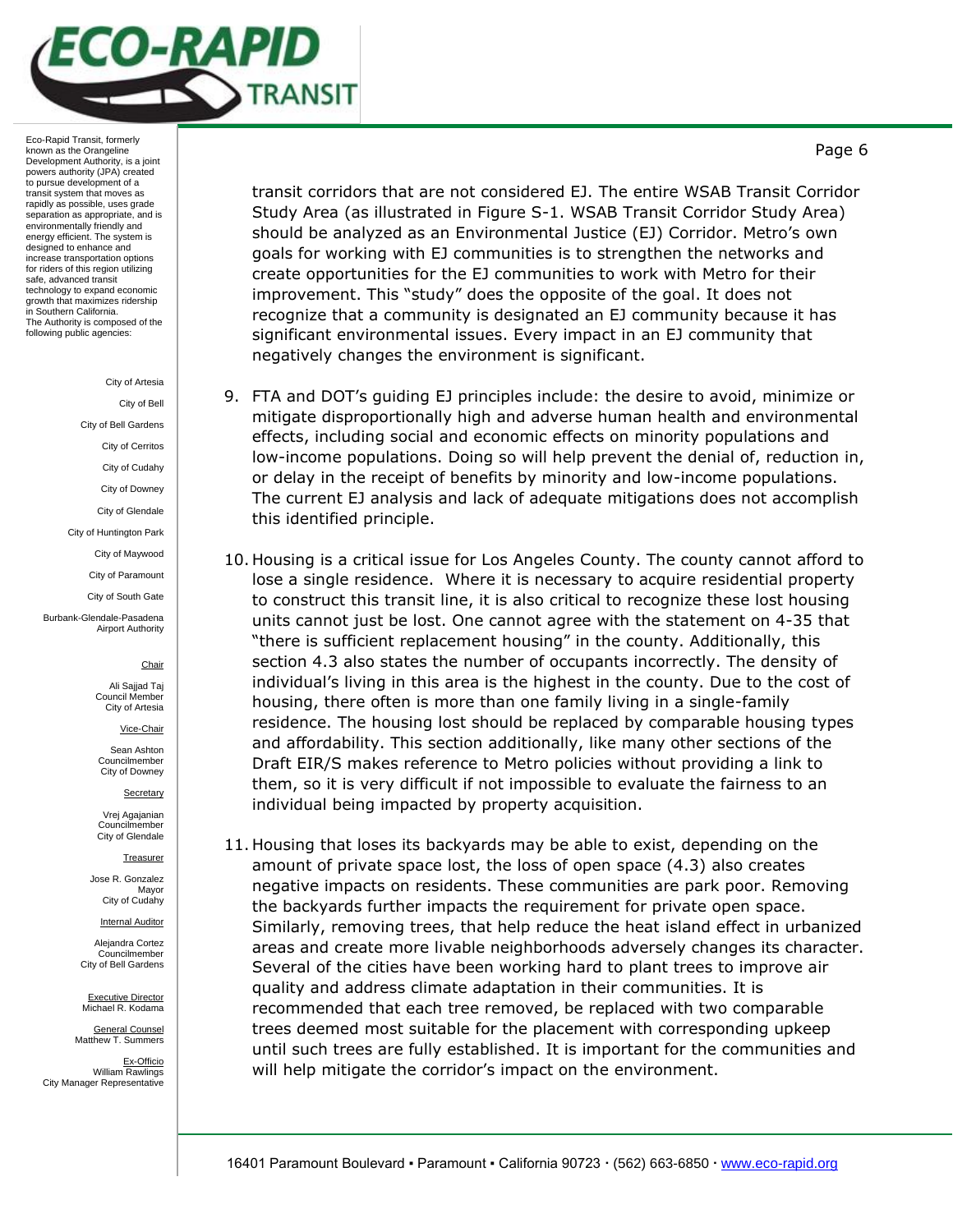

City of Artesia

City of Bell

City of Bell Gardens

City of Cerritos City of Cudahy

City of Downey

City of Glendale

City of Huntington Park

City of Maywood

City of Paramount

City of South Gate

Burbank-Glendale-Pasadena Airport Authority

**Chair** 

Ali Sajjad Taj Council Member City of Artesia

Vice-Chair

Sean Ashton Councilmember City of Downey

**Secretary** 

Vrej Agajanian Councilmember City of Glendale

**Treasurer** 

Jose R. Gonzalez Mayor City of Cudahy

Internal Auditor

Alejandra Cortez Councilmember City of Bell Gardens

Executive Director Michael R. Kodama

General Counsel Matthew T. Summers

Ex-Officio William Rawlings City Manager Representative transit corridors that are not considered EJ. The entire WSAB Transit Corridor Study Area (as illustrated in Figure S-1. WSAB Transit Corridor Study Area) should be analyzed as an Environmental Justice (EJ) Corridor. Metro's own goals for working with EJ communities is to strengthen the networks and create opportunities for the EJ communities to work with Metro for their improvement. This "study" does the opposite of the goal. It does not recognize that a community is designated an EJ community because it has significant environmental issues. Every impact in an EJ community that negatively changes the environment is significant.

- 9. FTA and DOT's guiding EJ principles include: the desire to avoid, minimize or mitigate disproportionally high and adverse human health and environmental effects, including social and economic effects on minority populations and low-income populations. Doing so will help prevent the denial of, reduction in, or delay in the receipt of benefits by minority and low-income populations. The current EJ analysis and lack of adequate mitigations does not accomplish this identified principle.
- 10. Housing is a critical issue for Los Angeles County. The county cannot afford to lose a single residence. Where it is necessary to acquire residential property to construct this transit line, it is also critical to recognize these lost housing units cannot just be lost. One cannot agree with the statement on 4-35 that "there is sufficient replacement housing" in the county. Additionally, this section 4.3 also states the number of occupants incorrectly. The density of individual's living in this area is the highest in the county. Due to the cost of housing, there often is more than one family living in a single-family residence. The housing lost should be replaced by comparable housing types and affordability. This section additionally, like many other sections of the Draft EIR/S makes reference to Metro policies without providing a link to them, so it is very difficult if not impossible to evaluate the fairness to an individual being impacted by property acquisition.
- 11. Housing that loses its backyards may be able to exist, depending on the amount of private space lost, the loss of open space (4.3) also creates negative impacts on residents. These communities are park poor. Removing the backyards further impacts the requirement for private open space. Similarly, removing trees, that help reduce the heat island effect in urbanized areas and create more livable neighborhoods adversely changes its character. Several of the cities have been working hard to plant trees to improve air quality and address climate adaptation in their communities. It is recommended that each tree removed, be replaced with two comparable trees deemed most suitable for the placement with corresponding upkeep until such trees are fully established. It is important for the communities and will help mitigate the corridor's impact on the environment.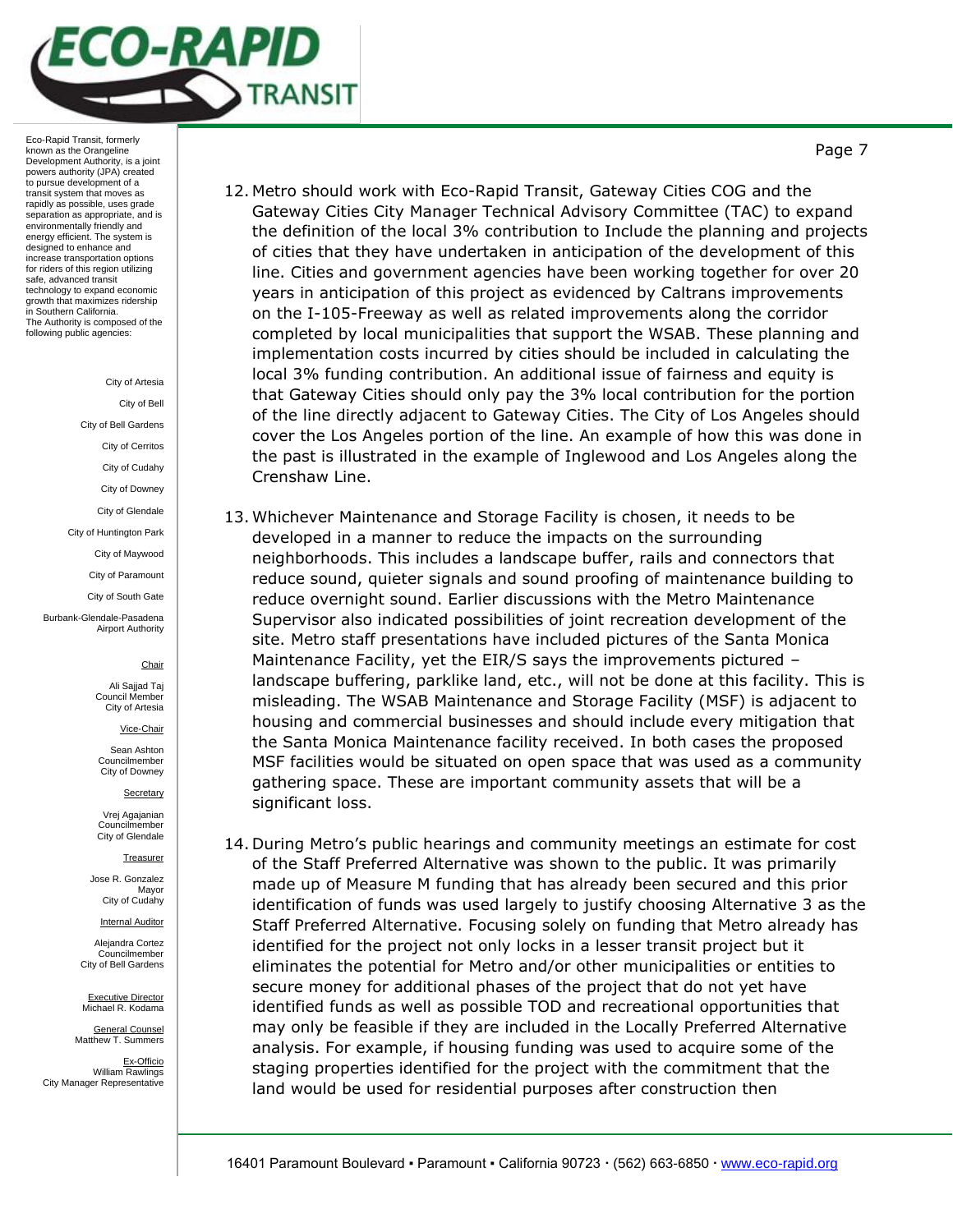

City of Artesia

City of Bell

City of Bell Gardens

City of Cerritos City of Cudahy

City of Downey

City of Glendale

City of Huntington Park

City of Maywood City of Paramount

City of South Gate

Burbank-Glendale-Pasadena Airport Authority

**Chair** 

Ali Sajjad Taj Council Member City of Artesia

Vice-Chair

Sean Ashton Councilmember City of Downey

**Secretary** 

Vrej Agajanian Councilmember City of Glendale

**Treasurer** 

Jose R. Gonzalez Mayor City of Cudahy

Internal Auditor

Alejandra Cortez Councilmember City of Bell Gardens

Executive Director Michael R. Kodama

General Counsel Matthew T. Summers

Ex-Officio William Rawlings City Manager Representative

- 12. Metro should work with Eco-Rapid Transit, Gateway Cities COG and the Gateway Cities City Manager Technical Advisory Committee (TAC) to expand the definition of the local 3% contribution to Include the planning and projects of cities that they have undertaken in anticipation of the development of this line. Cities and government agencies have been working together for over 20 years in anticipation of this project as evidenced by Caltrans improvements on the I-105-Freeway as well as related improvements along the corridor completed by local municipalities that support the WSAB. These planning and implementation costs incurred by cities should be included in calculating the local 3% funding contribution. An additional issue of fairness and equity is that Gateway Cities should only pay the 3% local contribution for the portion of the line directly adjacent to Gateway Cities. The City of Los Angeles should cover the Los Angeles portion of the line. An example of how this was done in the past is illustrated in the example of Inglewood and Los Angeles along the Crenshaw Line.
- 13. Whichever Maintenance and Storage Facility is chosen, it needs to be developed in a manner to reduce the impacts on the surrounding neighborhoods. This includes a landscape buffer, rails and connectors that reduce sound, quieter signals and sound proofing of maintenance building to reduce overnight sound. Earlier discussions with the Metro Maintenance Supervisor also indicated possibilities of joint recreation development of the site. Metro staff presentations have included pictures of the Santa Monica Maintenance Facility, yet the EIR/S says the improvements pictured – landscape buffering, parklike land, etc., will not be done at this facility. This is misleading. The WSAB Maintenance and Storage Facility (MSF) is adjacent to housing and commercial businesses and should include every mitigation that the Santa Monica Maintenance facility received. In both cases the proposed MSF facilities would be situated on open space that was used as a community gathering space. These are important community assets that will be a significant loss.
- 14. During Metro's public hearings and community meetings an estimate for cost of the Staff Preferred Alternative was shown to the public. It was primarily made up of Measure M funding that has already been secured and this prior identification of funds was used largely to justify choosing Alternative 3 as the Staff Preferred Alternative. Focusing solely on funding that Metro already has identified for the project not only locks in a lesser transit project but it eliminates the potential for Metro and/or other municipalities or entities to secure money for additional phases of the project that do not yet have identified funds as well as possible TOD and recreational opportunities that may only be feasible if they are included in the Locally Preferred Alternative analysis. For example, if housing funding was used to acquire some of the staging properties identified for the project with the commitment that the land would be used for residential purposes after construction then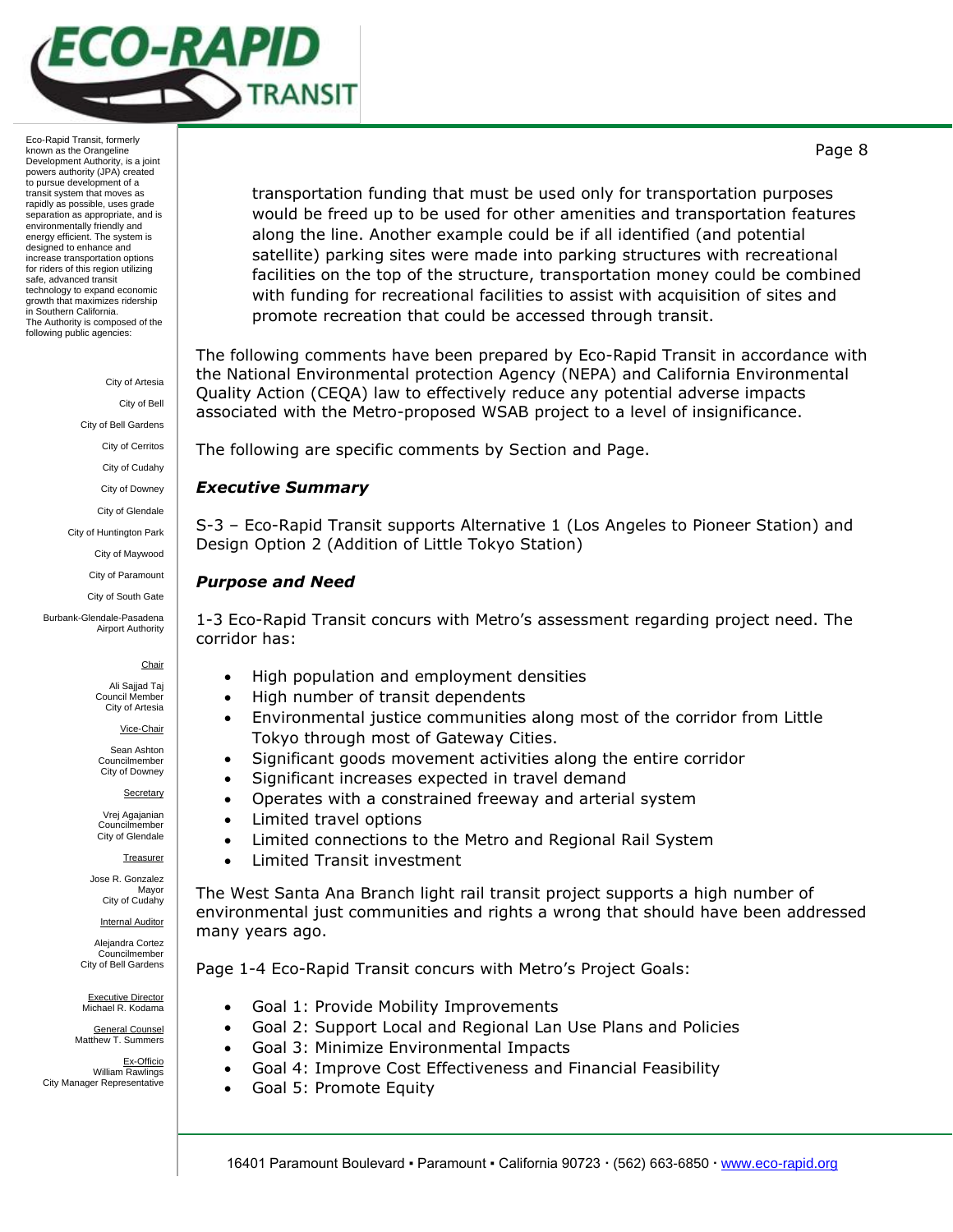

> City of Artesia City of Bell City of Bell Gardens City of Cerritos City of Cudahy City of Downey City of Glendale City of Huntington Park

> > City of Maywood City of Paramount

City of South Gate

Burbank-Glendale-Pasadena Airport Authority

**Chair** 

Ali Sajjad Taj Council Member City of Artesia

Vice-Chair

Sean Ashton Councilmember City of Downey

Secretary

Vrej Agajanian Councilmember City of Glendale

**Treasurer** 

Jose R. Gonzalez Mayor City of Cudahy

Internal Auditor Alejandra Cortez

Councilmember City of Bell Gardens

Executive Director Michael R. Kodama

General Counsel Matthew T. Summers

Ex-Officio William Rawlings City Manager Representative

transportation funding that must be used only for transportation purposes would be freed up to be used for other amenities and transportation features along the line. Another example could be if all identified (and potential satellite) parking sites were made into parking structures with recreational facilities on the top of the structure, transportation money could be combined with funding for recreational facilities to assist with acquisition of sites and promote recreation that could be accessed through transit.

The following comments have been prepared by Eco-Rapid Transit in accordance with the National Environmental protection Agency (NEPA) and California Environmental Quality Action (CEQA) law to effectively reduce any potential adverse impacts associated with the Metro-proposed WSAB project to a level of insignificance.

The following are specific comments by Section and Page.

## *Executive Summary*

S-3 – Eco-Rapid Transit supports Alternative 1 (Los Angeles to Pioneer Station) and Design Option 2 (Addition of Little Tokyo Station)

# *Purpose and Need*

1-3 Eco-Rapid Transit concurs with Metro's assessment regarding project need. The corridor has:

- High population and employment densities
- High number of transit dependents
- Environmental justice communities along most of the corridor from Little Tokyo through most of Gateway Cities.
- Significant goods movement activities along the entire corridor
- Significant increases expected in travel demand
- Operates with a constrained freeway and arterial system
- Limited travel options
- Limited connections to the Metro and Regional Rail System
- Limited Transit investment

The West Santa Ana Branch light rail transit project supports a high number of environmental just communities and rights a wrong that should have been addressed many years ago.

Page 1-4 Eco-Rapid Transit concurs with Metro's Project Goals:

- Goal 1: Provide Mobility Improvements
- Goal 2: Support Local and Regional Lan Use Plans and Policies
- Goal 3: Minimize Environmental Impacts
- Goal 4: Improve Cost Effectiveness and Financial Feasibility
- Goal 5: Promote Equity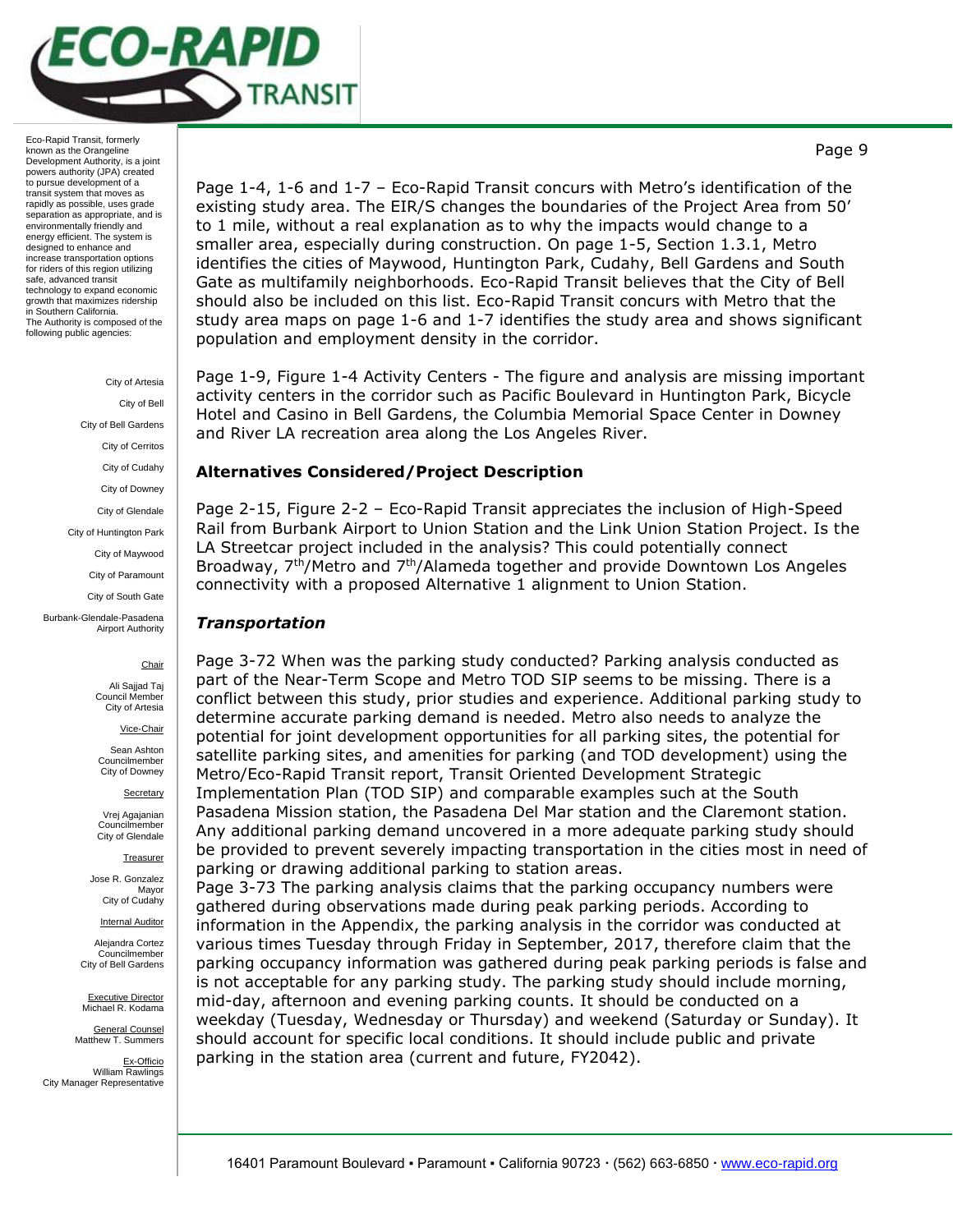

> City of Artesia City of Bell City of Bell Gardens City of Cerritos City of Cudahy City of Downey City of Glendale

City of Huntington Park

City of Maywood

City of Paramount City of South Gate

Burbank-Glendale-Pasadena Airport Authority

# **Chair**

Ali Sajjad Taj Council Member City of Artesia

Vice-Chair

Sean Ashton Councilmember City of Downey

**Secretary** 

Vrej Agajanian Councilmember City of Glendale

**Treasurer** 

Jose R. Gonzalez Mayor City of Cudahy

Internal Auditor

Alejandra Cortez Councilmember City of Bell Gardens

Executive Director Michael R. Kodama

General Counsel Matthew T. Summers

Ex-Officio William Rawlings City Manager Representative

Page 1-4, 1-6 and 1-7 – Eco-Rapid Transit concurs with Metro's identification of the existing study area. The EIR/S changes the boundaries of the Project Area from 50' to 1 mile, without a real explanation as to why the impacts would change to a smaller area, especially during construction. On page 1-5, Section 1.3.1, Metro identifies the cities of Maywood, Huntington Park, Cudahy, Bell Gardens and South Gate as multifamily neighborhoods. Eco-Rapid Transit believes that the City of Bell should also be included on this list. Eco-Rapid Transit concurs with Metro that the study area maps on page 1-6 and 1-7 identifies the study area and shows significant population and employment density in the corridor.

Page 1-9, Figure 1-4 Activity Centers - The figure and analysis are missing important activity centers in the corridor such as Pacific Boulevard in Huntington Park, Bicycle Hotel and Casino in Bell Gardens, the Columbia Memorial Space Center in Downey and River LA recreation area along the Los Angeles River.

## **Alternatives Considered/Project Description**

Page 2-15, Figure 2-2 – Eco-Rapid Transit appreciates the inclusion of High-Speed Rail from Burbank Airport to Union Station and the Link Union Station Project. Is the LA Streetcar project included in the analysis? This could potentially connect Broadway, 7th/Metro and 7th/Alameda together and provide Downtown Los Angeles connectivity with a proposed Alternative 1 alignment to Union Station.

## *Transportation*

Page 3-72 When was the parking study conducted? Parking analysis conducted as part of the Near-Term Scope and Metro TOD SIP seems to be missing. There is a conflict between this study, prior studies and experience. Additional parking study to determine accurate parking demand is needed. Metro also needs to analyze the potential for joint development opportunities for all parking sites, the potential for satellite parking sites, and amenities for parking (and TOD development) using the Metro/Eco-Rapid Transit report, Transit Oriented Development Strategic Implementation Plan (TOD SIP) and comparable examples such at the South Pasadena Mission station, the Pasadena Del Mar station and the Claremont station. Any additional parking demand uncovered in a more adequate parking study should be provided to prevent severely impacting transportation in the cities most in need of parking or drawing additional parking to station areas.

Page 3-73 The parking analysis claims that the parking occupancy numbers were gathered during observations made during peak parking periods. According to information in the Appendix, the parking analysis in the corridor was conducted at various times Tuesday through Friday in September, 2017, therefore claim that the parking occupancy information was gathered during peak parking periods is false and is not acceptable for any parking study. The parking study should include morning, mid-day, afternoon and evening parking counts. It should be conducted on a weekday (Tuesday, Wednesday or Thursday) and weekend (Saturday or Sunday). It should account for specific local conditions. It should include public and private parking in the station area (current and future, FY2042).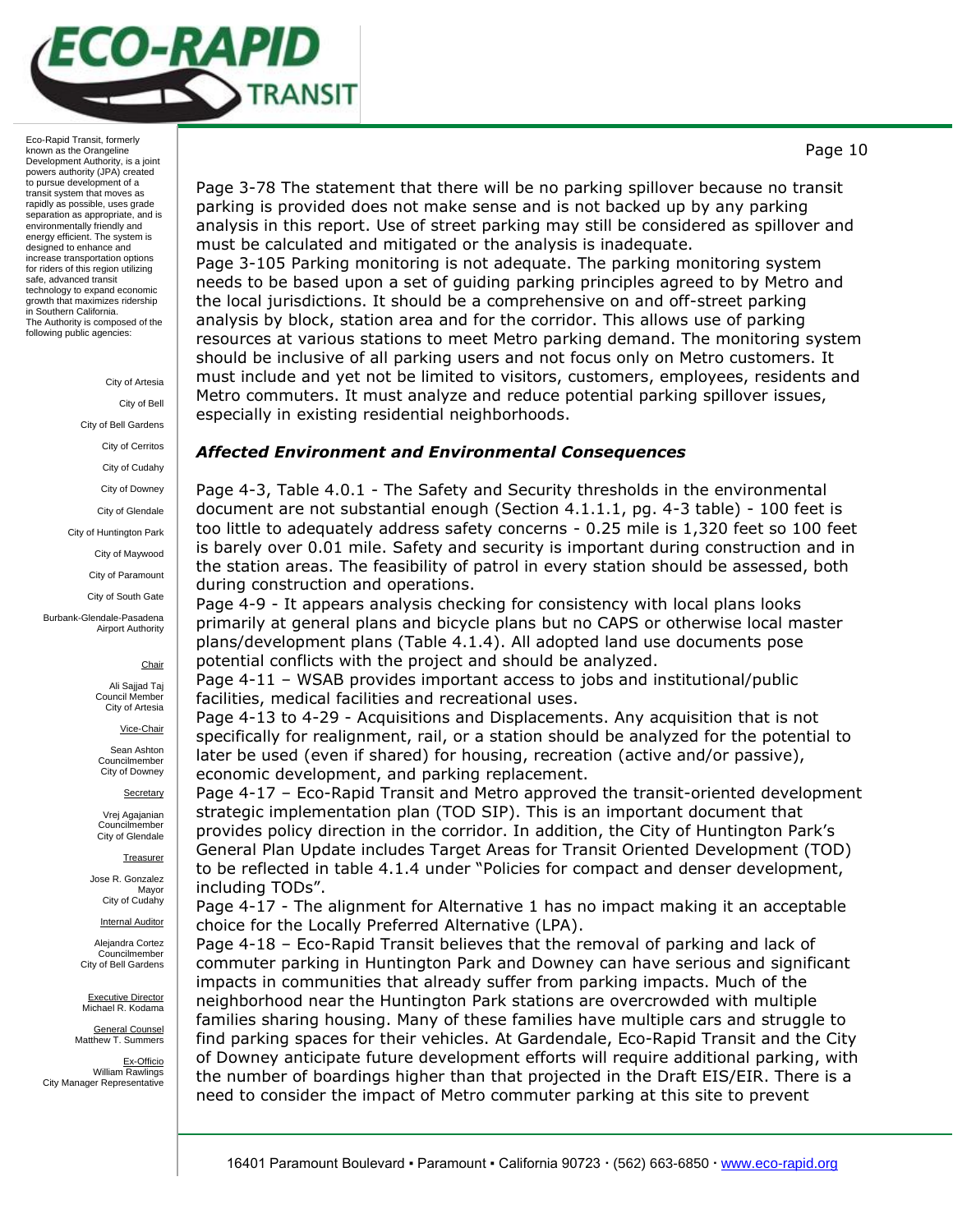

> City of Artesia City of Bell City of Bell Gardens City of Cerritos City of Cudahy City of Downey City of Glendale City of Huntington Park City of Maywood City of Paramount City of South Gate

Burbank-Glendale-Pasadena Airport Authority

## **Chair**

Ali Sajjad Taj Council Member City of Artesia

Vice-Chair

Sean Ashton Councilmember City of Downey

**Secretary** 

Vrej Agajanian Councilmember City of Glendale

**Treasurer** 

Jose R. Gonzalez Mayor City of Cudahy

Internal Auditor

Alejandra Cortez Councilmember City of Bell Gardens

Executive Director Michael R. Kodama

General Counsel Matthew T. Summers

Ex-Officio William Rawlings City Manager Representative

Page 10

Page 3-78 The statement that there will be no parking spillover because no transit parking is provided does not make sense and is not backed up by any parking analysis in this report. Use of street parking may still be considered as spillover and must be calculated and mitigated or the analysis is inadequate.

Page 3-105 Parking monitoring is not adequate. The parking monitoring system needs to be based upon a set of guiding parking principles agreed to by Metro and the local jurisdictions. It should be a comprehensive on and off-street parking analysis by block, station area and for the corridor. This allows use of parking resources at various stations to meet Metro parking demand. The monitoring system should be inclusive of all parking users and not focus only on Metro customers. It must include and yet not be limited to visitors, customers, employees, residents and Metro commuters. It must analyze and reduce potential parking spillover issues, especially in existing residential neighborhoods.

## *Affected Environment and Environmental Consequences*

Page 4-3, Table 4.0.1 - The Safety and Security thresholds in the environmental document are not substantial enough (Section 4.1.1.1, pg. 4-3 table) - 100 feet is too little to adequately address safety concerns - 0.25 mile is 1,320 feet so 100 feet is barely over 0.01 mile. Safety and security is important during construction and in the station areas. The feasibility of patrol in every station should be assessed, both during construction and operations.

Page 4-9 - It appears analysis checking for consistency with local plans looks primarily at general plans and bicycle plans but no CAPS or otherwise local master plans/development plans (Table 4.1.4). All adopted land use documents pose potential conflicts with the project and should be analyzed.

Page 4-11 – WSAB provides important access to jobs and institutional/public facilities, medical facilities and recreational uses.

Page 4-13 to 4-29 - Acquisitions and Displacements. Any acquisition that is not specifically for realignment, rail, or a station should be analyzed for the potential to later be used (even if shared) for housing, recreation (active and/or passive), economic development, and parking replacement.

Page 4-17 – Eco-Rapid Transit and Metro approved the transit-oriented development strategic implementation plan (TOD SIP). This is an important document that provides policy direction in the corridor. In addition, the City of Huntington Park's General Plan Update includes Target Areas for Transit Oriented Development (TOD) to be reflected in table 4.1.4 under "Policies for compact and denser development, including TODs".

Page 4-17 - The alignment for Alternative 1 has no impact making it an acceptable choice for the Locally Preferred Alternative (LPA).

Page 4-18 – Eco-Rapid Transit believes that the removal of parking and lack of commuter parking in Huntington Park and Downey can have serious and significant impacts in communities that already suffer from parking impacts. Much of the neighborhood near the Huntington Park stations are overcrowded with multiple families sharing housing. Many of these families have multiple cars and struggle to find parking spaces for their vehicles. At Gardendale, Eco-Rapid Transit and the City of Downey anticipate future development efforts will require additional parking, with the number of boardings higher than that projected in the Draft EIS/EIR. There is a need to consider the impact of Metro commuter parking at this site to prevent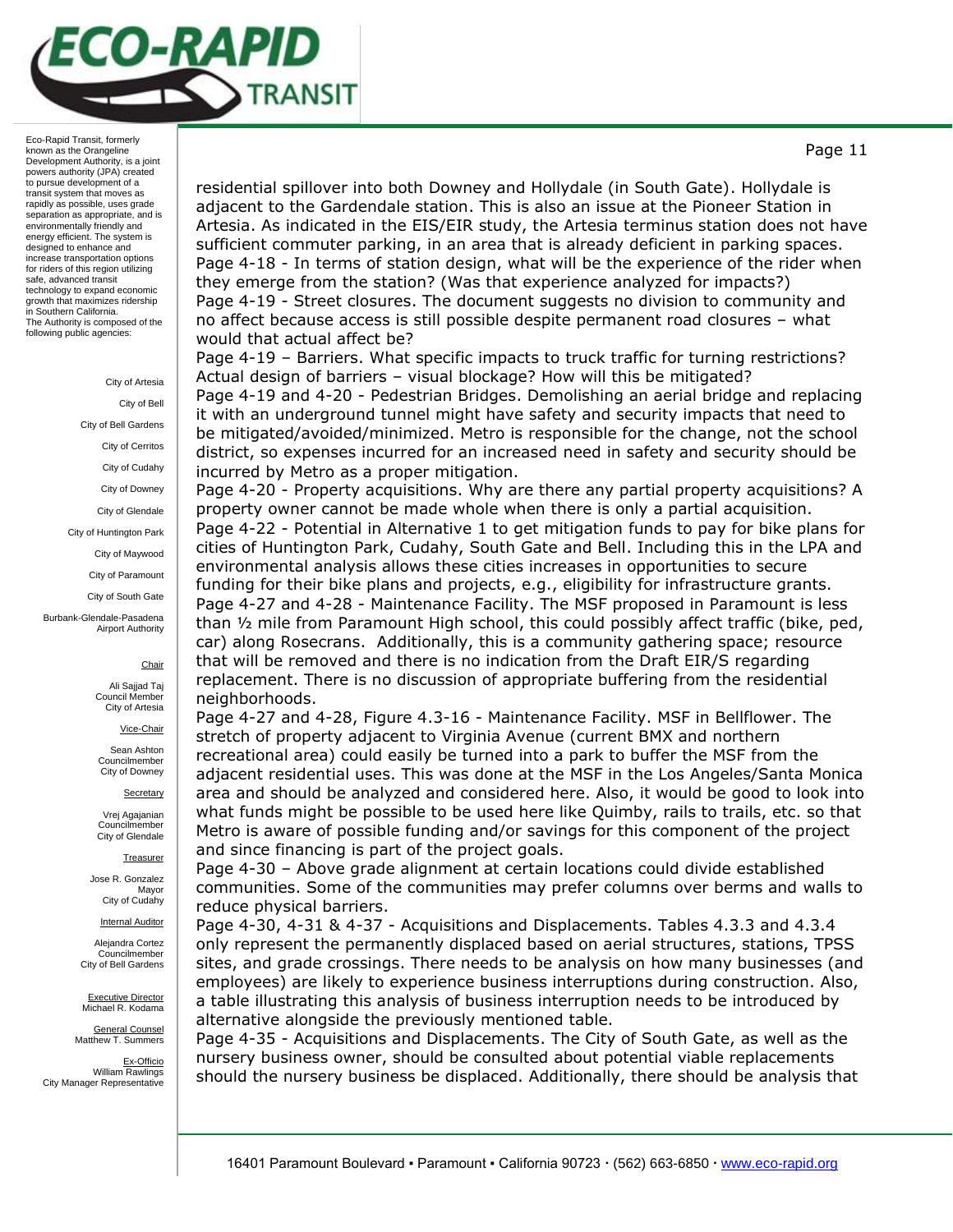

> City of Artesia City of Bell City of Bell Gardens City of Cerritos City of Cudahy City of Downey City of Glendale City of Huntington Park City of Maywood City of Paramount City of South Gate Burbank-Glendale-Pasadena Airport Authority

### **Chair**

Ali Sajjad Taj Council Member City of Artesia

Vice-Chair

Sean Ashton Councilmember City of Downey

**Secretary** 

Vrej Agajanian Councilmember City of Glendale

**Treasurer** 

Jose R. Gonzalez Mayor City of Cudahy

**Internal Auditor** 

Alejandra Cortez Councilmember City of Bell Gardens

Executive Director Michael R. Kodama

General Counsel Matthew T. Summers

Ex-Officio William Rawlings City Manager Representative

residential spillover into both Downey and Hollydale (in South Gate). Hollydale is adjacent to the Gardendale station. This is also an issue at the Pioneer Station in Artesia. As indicated in the EIS/EIR study, the Artesia terminus station does not have sufficient commuter parking, in an area that is already deficient in parking spaces. Page 4-18 - In terms of station design, what will be the experience of the rider when they emerge from the station? (Was that experience analyzed for impacts?) Page 4-19 - Street closures. The document suggests no division to community and no affect because access is still possible despite permanent road closures – what would that actual affect be?

Page 4-19 - Barriers. What specific impacts to truck traffic for turning restrictions? Actual design of barriers – visual blockage? How will this be mitigated? Page 4-19 and 4-20 - Pedestrian Bridges. Demolishing an aerial bridge and replacing it with an underground tunnel might have safety and security impacts that need to be mitigated/avoided/minimized. Metro is responsible for the change, not the school district, so expenses incurred for an increased need in safety and security should be

incurred by Metro as a proper mitigation. Page 4-20 - Property acquisitions. Why are there any partial property acquisitions? A property owner cannot be made whole when there is only a partial acquisition. Page 4-22 - Potential in Alternative 1 to get mitigation funds to pay for bike plans for cities of Huntington Park, Cudahy, South Gate and Bell. Including this in the LPA and environmental analysis allows these cities increases in opportunities to secure funding for their bike plans and projects, e.g., eligibility for infrastructure grants. Page 4-27 and 4-28 - Maintenance Facility. The MSF proposed in Paramount is less than ½ mile from Paramount High school, this could possibly affect traffic (bike, ped, car) along Rosecrans. Additionally, this is a community gathering space; resource that will be removed and there is no indication from the Draft EIR/S regarding replacement. There is no discussion of appropriate buffering from the residential neighborhoods.

Page 4-27 and 4-28, Figure 4.3-16 - Maintenance Facility. MSF in Bellflower. The stretch of property adjacent to Virginia Avenue (current BMX and northern recreational area) could easily be turned into a park to buffer the MSF from the adjacent residential uses. This was done at the MSF in the Los Angeles/Santa Monica area and should be analyzed and considered here. Also, it would be good to look into what funds might be possible to be used here like Quimby, rails to trails, etc. so that Metro is aware of possible funding and/or savings for this component of the project and since financing is part of the project goals.

Page 4-30 – Above grade alignment at certain locations could divide established communities. Some of the communities may prefer columns over berms and walls to reduce physical barriers.

Page 4-30, 4-31 & 4-37 - Acquisitions and Displacements. Tables 4.3.3 and 4.3.4 only represent the permanently displaced based on aerial structures, stations, TPSS sites, and grade crossings. There needs to be analysis on how many businesses (and employees) are likely to experience business interruptions during construction. Also, a table illustrating this analysis of business interruption needs to be introduced by alternative alongside the previously mentioned table.

Page 4-35 - Acquisitions and Displacements. The City of South Gate, as well as the nursery business owner, should be consulted about potential viable replacements should the nursery business be displaced. Additionally, there should be analysis that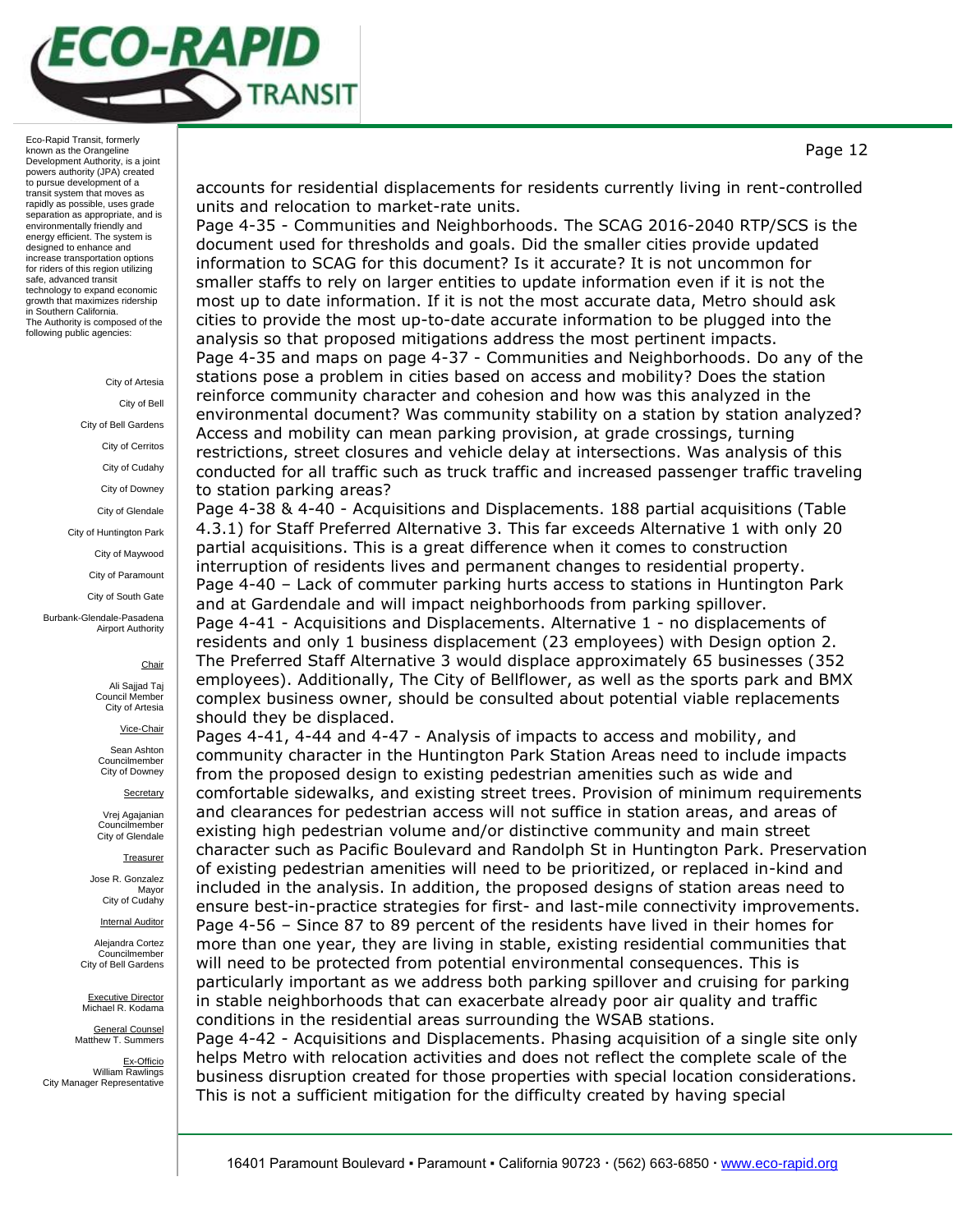

#### City of Artesia

City of Bell City of Bell Gardens

City of Cerritos

City of Cudahy

City of Downey

City of Glendale

City of Huntington Park

City of Maywood

City of Paramount

City of South Gate

Burbank-Glendale-Pasadena Airport Authority

#### **Chair**

Ali Sajjad Taj Council Member City of Artesia

Vice-Chair

Sean Ashton Councilmember City of Downey

**Secretary** 

Vrej Agajanian Councilmember City of Glendale

**Treasurer** 

Jose R. Gonzalez Mayor City of Cudahy

Internal Auditor

Alejandra Cortez Councilmember City of Bell Gardens

Executive Director Michael R. Kodama

General Counsel Matthew T. Summers

Ex-Officio William Rawlings City Manager Representative accounts for residential displacements for residents currently living in rent-controlled units and relocation to market-rate units.

Page 4-35 - Communities and Neighborhoods. The SCAG 2016-2040 RTP/SCS is the document used for thresholds and goals. Did the smaller cities provide updated information to SCAG for this document? Is it accurate? It is not uncommon for smaller staffs to rely on larger entities to update information even if it is not the most up to date information. If it is not the most accurate data, Metro should ask cities to provide the most up-to-date accurate information to be plugged into the analysis so that proposed mitigations address the most pertinent impacts. Page 4-35 and maps on page 4-37 - Communities and Neighborhoods. Do any of the stations pose a problem in cities based on access and mobility? Does the station reinforce community character and cohesion and how was this analyzed in the environmental document? Was community stability on a station by station analyzed? Access and mobility can mean parking provision, at grade crossings, turning restrictions, street closures and vehicle delay at intersections. Was analysis of this conducted for all traffic such as truck traffic and increased passenger traffic traveling to station parking areas?

Page 4-38 & 4-40 - Acquisitions and Displacements. 188 partial acquisitions (Table 4.3.1) for Staff Preferred Alternative 3. This far exceeds Alternative 1 with only 20 partial acquisitions. This is a great difference when it comes to construction interruption of residents lives and permanent changes to residential property. Page 4-40 – Lack of commuter parking hurts access to stations in Huntington Park and at Gardendale and will impact neighborhoods from parking spillover.

Page 4-41 - Acquisitions and Displacements. Alternative 1 - no displacements of residents and only 1 business displacement (23 employees) with Design option 2. The Preferred Staff Alternative 3 would displace approximately 65 businesses (352 employees). Additionally, The City of Bellflower, as well as the sports park and BMX complex business owner, should be consulted about potential viable replacements should they be displaced.

Pages 4-41, 4-44 and 4-47 - Analysis of impacts to access and mobility, and community character in the Huntington Park Station Areas need to include impacts from the proposed design to existing pedestrian amenities such as wide and comfortable sidewalks, and existing street trees. Provision of minimum requirements and clearances for pedestrian access will not suffice in station areas, and areas of existing high pedestrian volume and/or distinctive community and main street character such as Pacific Boulevard and Randolph St in Huntington Park. Preservation of existing pedestrian amenities will need to be prioritized, or replaced in-kind and included in the analysis. In addition, the proposed designs of station areas need to ensure best-in-practice strategies for first- and last-mile connectivity improvements. Page 4-56 – Since 87 to 89 percent of the residents have lived in their homes for more than one year, they are living in stable, existing residential communities that will need to be protected from potential environmental consequences. This is particularly important as we address both parking spillover and cruising for parking in stable neighborhoods that can exacerbate already poor air quality and traffic conditions in the residential areas surrounding the WSAB stations.

Page 4-42 - Acquisitions and Displacements. Phasing acquisition of a single site only helps Metro with relocation activities and does not reflect the complete scale of the business disruption created for those properties with special location considerations. This is not a sufficient mitigation for the difficulty created by having special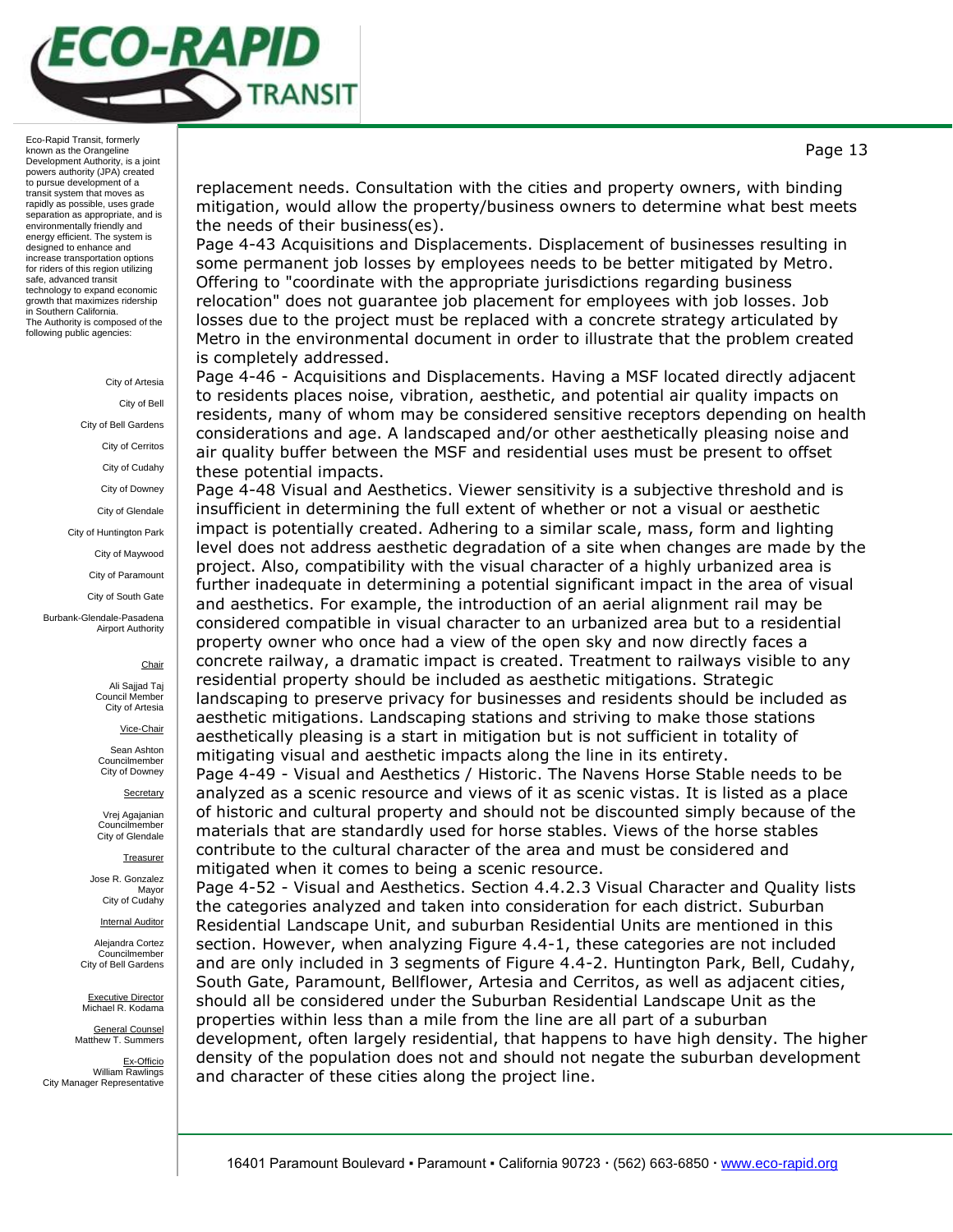

> City of Artesia City of Bell City of Bell Gardens City of Cerritos City of Cudahy City of Downey City of Glendale City of Huntington Park City of Maywood City of Paramount City of South Gate Burbank-Glendale-Pasadena Airport Authority

### **Chair**

Ali Sajjad Taj Council Member City of Artesia

Vice-Chair

Sean Ashton Councilmember City of Downey

**Secretary** 

Vrej Agajanian Councilmember City of Glendale

**Treasurer** 

Jose R. Gonzalez Mayor City of Cudahy

Internal Auditor

Alejandra Cortez Councilmember City of Bell Gardens

Executive Director Michael R. Kodama

General Counsel Matthew T. Summers

Ex-Officio William Rawlings City Manager Representative

replacement needs. Consultation with the cities and property owners, with binding mitigation, would allow the property/business owners to determine what best meets the needs of their business(es).

Page 4-43 Acquisitions and Displacements. Displacement of businesses resulting in some permanent job losses by employees needs to be better mitigated by Metro. Offering to "coordinate with the appropriate jurisdictions regarding business relocation" does not guarantee job placement for employees with job losses. Job losses due to the project must be replaced with a concrete strategy articulated by Metro in the environmental document in order to illustrate that the problem created is completely addressed.

Page 4-46 - Acquisitions and Displacements. Having a MSF located directly adjacent to residents places noise, vibration, aesthetic, and potential air quality impacts on residents, many of whom may be considered sensitive receptors depending on health considerations and age. A landscaped and/or other aesthetically pleasing noise and air quality buffer between the MSF and residential uses must be present to offset these potential impacts.

Page 4-48 Visual and Aesthetics. Viewer sensitivity is a subjective threshold and is insufficient in determining the full extent of whether or not a visual or aesthetic impact is potentially created. Adhering to a similar scale, mass, form and lighting level does not address aesthetic degradation of a site when changes are made by the project. Also, compatibility with the visual character of a highly urbanized area is further inadequate in determining a potential significant impact in the area of visual and aesthetics. For example, the introduction of an aerial alignment rail may be considered compatible in visual character to an urbanized area but to a residential property owner who once had a view of the open sky and now directly faces a concrete railway, a dramatic impact is created. Treatment to railways visible to any residential property should be included as aesthetic mitigations. Strategic landscaping to preserve privacy for businesses and residents should be included as aesthetic mitigations. Landscaping stations and striving to make those stations aesthetically pleasing is a start in mitigation but is not sufficient in totality of mitigating visual and aesthetic impacts along the line in its entirety.

Page 4-49 - Visual and Aesthetics / Historic. The Navens Horse Stable needs to be analyzed as a scenic resource and views of it as scenic vistas. It is listed as a place of historic and cultural property and should not be discounted simply because of the materials that are standardly used for horse stables. Views of the horse stables contribute to the cultural character of the area and must be considered and mitigated when it comes to being a scenic resource.

Page 4-52 - Visual and Aesthetics. Section 4.4.2.3 Visual Character and Quality lists the categories analyzed and taken into consideration for each district. Suburban Residential Landscape Unit, and suburban Residential Units are mentioned in this section. However, when analyzing Figure 4.4-1, these categories are not included and are only included in 3 segments of Figure 4.4-2. Huntington Park, Bell, Cudahy, South Gate, Paramount, Bellflower, Artesia and Cerritos, as well as adjacent cities, should all be considered under the Suburban Residential Landscape Unit as the properties within less than a mile from the line are all part of a suburban development, often largely residential, that happens to have high density. The higher density of the population does not and should not negate the suburban development and character of these cities along the project line.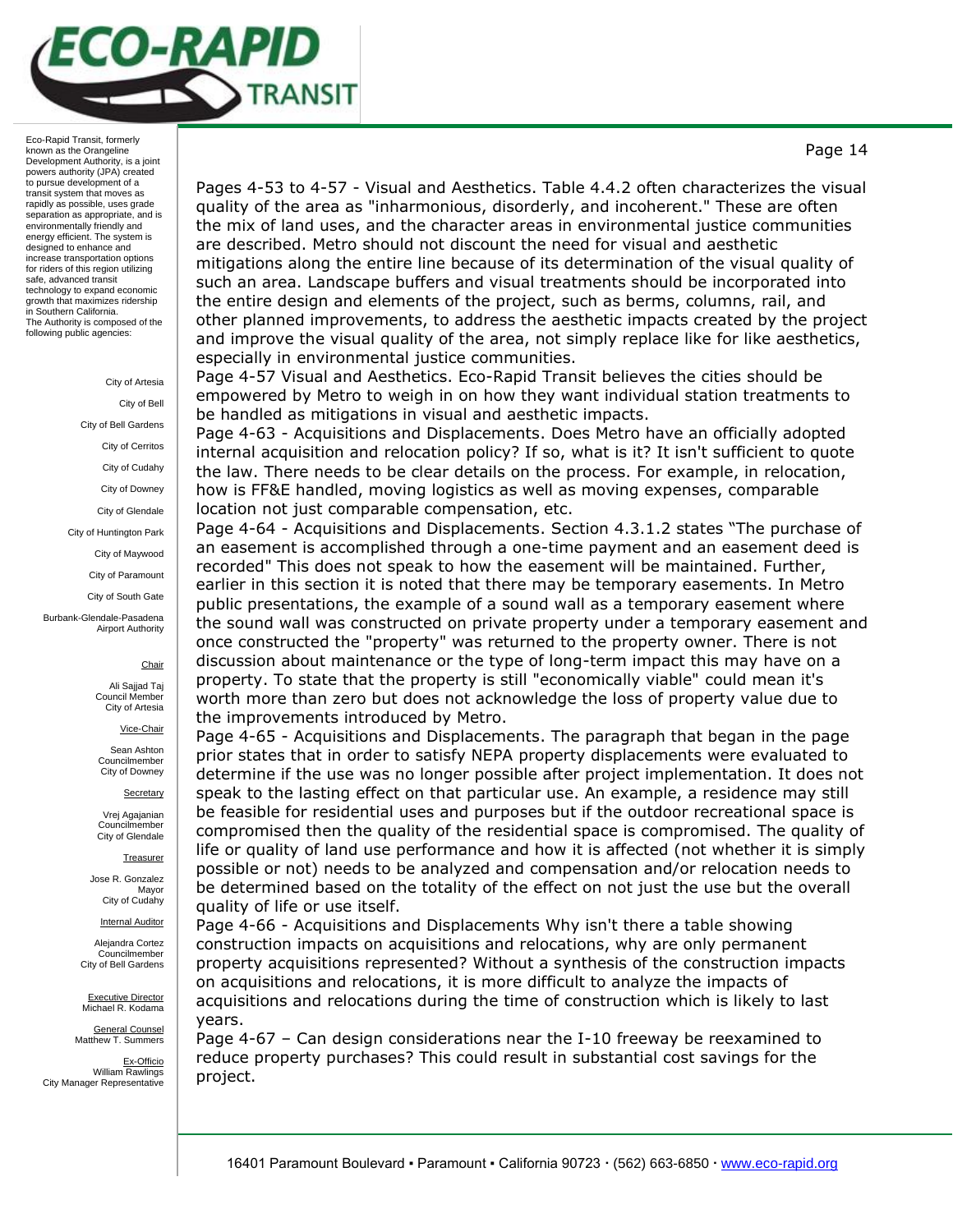

#### City of Artesia City of Bell

City of Bell Gardens City of Cerritos City of Cudahy City of Downey City of Glendale

City of Huntington Park

City of Maywood

City of Paramount

City of South Gate

Burbank-Glendale-Pasadena Airport Authority

### **Chair**

Ali Sajjad Taj Council Member City of Artesia

Vice-Chair

Sean Ashton Councilmember City of Downey

**Secretary** 

Vrej Agajanian Councilmember City of Glendale

**Treasurer** 

Jose R. Gonzalez Mayor City of Cudahy

Internal Auditor

Alejandra Cortez Councilmember City of Bell Gardens

Executive Director Michael R. Kodama

General Counsel Matthew T. Summers

Ex-Officio William Rawlings City Manager Representative

Pages 4-53 to 4-57 - Visual and Aesthetics. Table 4.4.2 often characterizes the visual quality of the area as "inharmonious, disorderly, and incoherent." These are often the mix of land uses, and the character areas in environmental justice communities are described. Metro should not discount the need for visual and aesthetic mitigations along the entire line because of its determination of the visual quality of such an area. Landscape buffers and visual treatments should be incorporated into the entire design and elements of the project, such as berms, columns, rail, and other planned improvements, to address the aesthetic impacts created by the project and improve the visual quality of the area, not simply replace like for like aesthetics, especially in environmental justice communities.

Page 4-57 Visual and Aesthetics. Eco-Rapid Transit believes the cities should be empowered by Metro to weigh in on how they want individual station treatments to be handled as mitigations in visual and aesthetic impacts.

Page 4-63 - Acquisitions and Displacements. Does Metro have an officially adopted internal acquisition and relocation policy? If so, what is it? It isn't sufficient to quote the law. There needs to be clear details on the process. For example, in relocation, how is FF&E handled, moving logistics as well as moving expenses, comparable location not just comparable compensation, etc.

Page 4-64 - Acquisitions and Displacements. Section 4.3.1.2 states "The purchase of an easement is accomplished through a one-time payment and an easement deed is recorded" This does not speak to how the easement will be maintained. Further, earlier in this section it is noted that there may be temporary easements. In Metro public presentations, the example of a sound wall as a temporary easement where the sound wall was constructed on private property under a temporary easement and once constructed the "property" was returned to the property owner. There is not discussion about maintenance or the type of long-term impact this may have on a property. To state that the property is still "economically viable" could mean it's worth more than zero but does not acknowledge the loss of property value due to the improvements introduced by Metro.

Page 4-65 - Acquisitions and Displacements. The paragraph that began in the page prior states that in order to satisfy NEPA property displacements were evaluated to determine if the use was no longer possible after project implementation. It does not speak to the lasting effect on that particular use. An example, a residence may still be feasible for residential uses and purposes but if the outdoor recreational space is compromised then the quality of the residential space is compromised. The quality of life or quality of land use performance and how it is affected (not whether it is simply possible or not) needs to be analyzed and compensation and/or relocation needs to be determined based on the totality of the effect on not just the use but the overall quality of life or use itself.

Page 4-66 - Acquisitions and Displacements Why isn't there a table showing construction impacts on acquisitions and relocations, why are only permanent property acquisitions represented? Without a synthesis of the construction impacts on acquisitions and relocations, it is more difficult to analyze the impacts of acquisitions and relocations during the time of construction which is likely to last years.

Page 4-67 – Can design considerations near the I-10 freeway be reexamined to reduce property purchases? This could result in substantial cost savings for the project.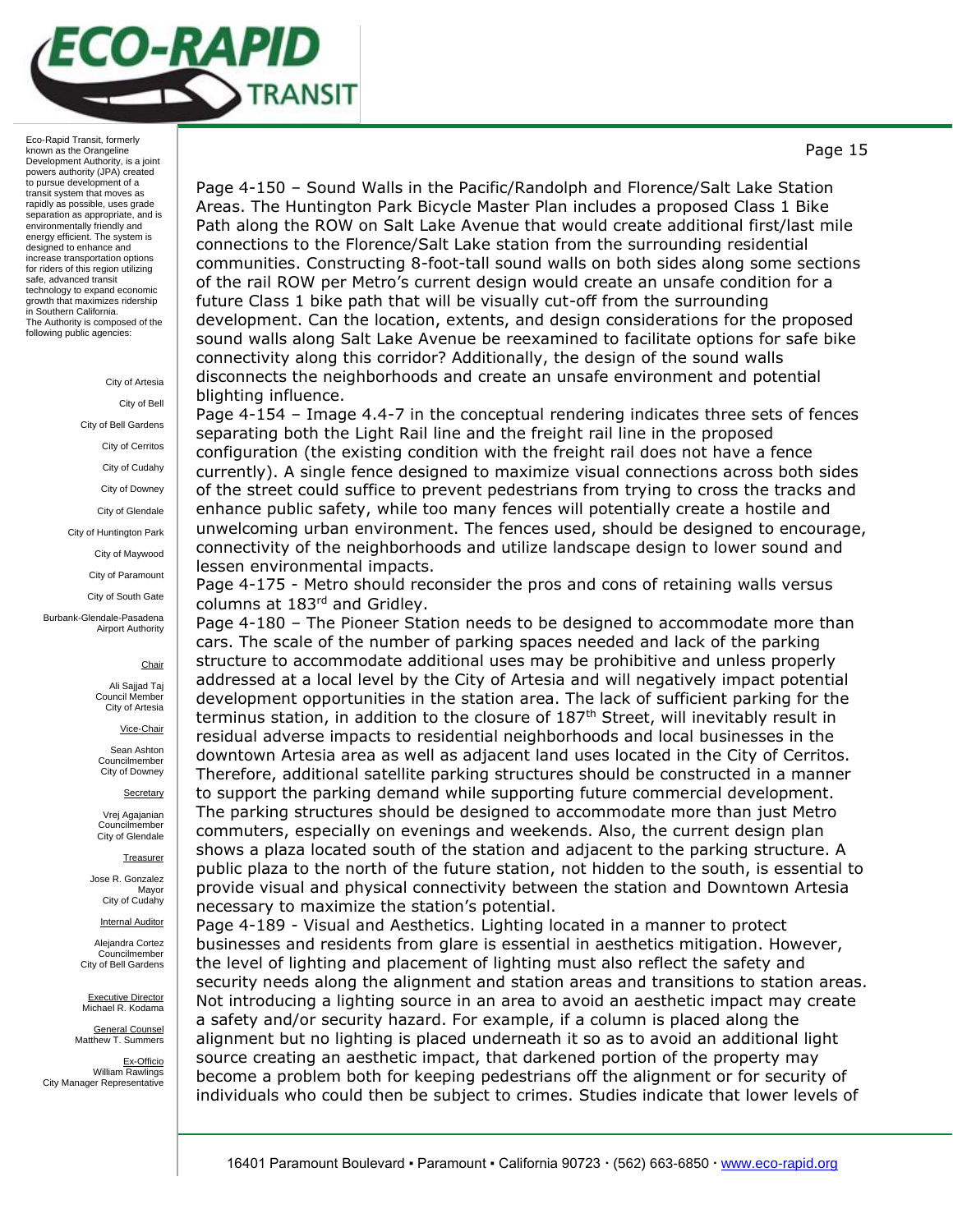

### City of Artesia

City of Bell City of Bell Gardens City of Cerritos City of Cudahy City of Downey City of Glendale City of Huntington Park City of Maywood City of Paramount

City of South Gate

Burbank-Glendale-Pasadena Airport Authority

### **Chair**

Ali Sajjad Taj Council Member City of Artesia

Vice-Chair

Sean Ashton Councilmember City of Downey

**Secretary** 

Vrej Agajanian Councilmember City of Glendale

**Treasurer** 

Jose R. Gonzalez Mayor City of Cudahy

Internal Auditor

Alejandra Cortez Councilmember City of Bell Gardens

Executive Director Michael R. Kodama

General Counsel Matthew T. Summers

Ex-Officio William Rawlings City Manager Representative Page 4-150 – Sound Walls in the Pacific/Randolph and Florence/Salt Lake Station Areas. The Huntington Park Bicycle Master Plan includes a proposed Class 1 Bike Path along the ROW on Salt Lake Avenue that would create additional first/last mile connections to the Florence/Salt Lake station from the surrounding residential communities. Constructing 8-foot-tall sound walls on both sides along some sections of the rail ROW per Metro's current design would create an unsafe condition for a future Class 1 bike path that will be visually cut-off from the surrounding development. Can the location, extents, and design considerations for the proposed sound walls along Salt Lake Avenue be reexamined to facilitate options for safe bike connectivity along this corridor? Additionally, the design of the sound walls disconnects the neighborhoods and create an unsafe environment and potential blighting influence.

Page 4-154 – Image 4.4-7 in the conceptual rendering indicates three sets of fences separating both the Light Rail line and the freight rail line in the proposed configuration (the existing condition with the freight rail does not have a fence currently). A single fence designed to maximize visual connections across both sides of the street could suffice to prevent pedestrians from trying to cross the tracks and enhance public safety, while too many fences will potentially create a hostile and unwelcoming urban environment. The fences used, should be designed to encourage, connectivity of the neighborhoods and utilize landscape design to lower sound and lessen environmental impacts.

Page 4-175 - Metro should reconsider the pros and cons of retaining walls versus columns at 183rd and Gridley.

Page 4-180 – The Pioneer Station needs to be designed to accommodate more than cars. The scale of the number of parking spaces needed and lack of the parking structure to accommodate additional uses may be prohibitive and unless properly addressed at a local level by the City of Artesia and will negatively impact potential development opportunities in the station area. The lack of sufficient parking for the terminus station, in addition to the closure of  $187<sup>th</sup>$  Street, will inevitably result in residual adverse impacts to residential neighborhoods and local businesses in the downtown Artesia area as well as adjacent land uses located in the City of Cerritos. Therefore, additional satellite parking structures should be constructed in a manner to support the parking demand while supporting future commercial development. The parking structures should be designed to accommodate more than just Metro commuters, especially on evenings and weekends. Also, the current design plan shows a plaza located south of the station and adjacent to the parking structure. A public plaza to the north of the future station, not hidden to the south, is essential to provide visual and physical connectivity between the station and Downtown Artesia necessary to maximize the station's potential.

Page 4-189 - Visual and Aesthetics. Lighting located in a manner to protect businesses and residents from glare is essential in aesthetics mitigation. However, the level of lighting and placement of lighting must also reflect the safety and security needs along the alignment and station areas and transitions to station areas. Not introducing a lighting source in an area to avoid an aesthetic impact may create a safety and/or security hazard. For example, if a column is placed along the alignment but no lighting is placed underneath it so as to avoid an additional light source creating an aesthetic impact, that darkened portion of the property may become a problem both for keeping pedestrians off the alignment or for security of individuals who could then be subject to crimes. Studies indicate that lower levels of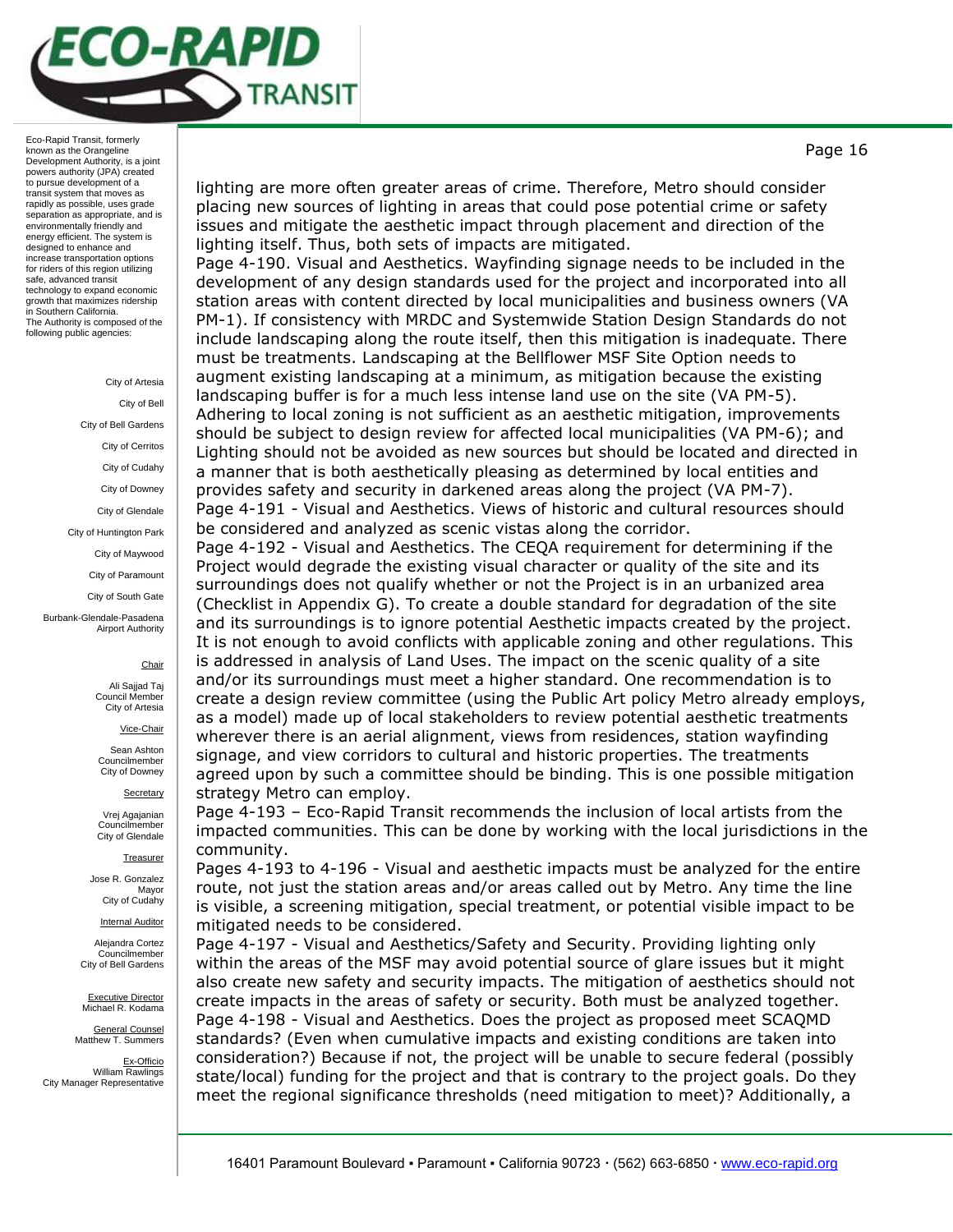

#### City of Artesia

City of Bell City of Bell Gardens City of Cerritos City of Cudahy City of Downey City of Glendale City of Huntington Park City of Maywood City of Paramount City of South Gate Burbank-Glendale-Pasadena Airport Authority

#### **Chair**

Ali Sajjad Taj Council Member City of Artesia

Vice-Chair

Sean Ashton Councilmember City of Downey

**Secretary** 

Vrej Agajanian Councilmember City of Glendale

**Treasurer** 

Jose R. Gonzalez Mayor City of Cudahy

Internal Auditor

Alejandra Cortez Councilmember City of Bell Gardens

Executive Director Michael R. Kodama

General Counsel Matthew T. Summers

Ex-Officio William Rawlings City Manager Representative lighting are more often greater areas of crime. Therefore, Metro should consider placing new sources of lighting in areas that could pose potential crime or safety issues and mitigate the aesthetic impact through placement and direction of the lighting itself. Thus, both sets of impacts are mitigated.

Page 4-190. Visual and Aesthetics. Wayfinding signage needs to be included in the development of any design standards used for the project and incorporated into all station areas with content directed by local municipalities and business owners (VA PM-1). If consistency with MRDC and Systemwide Station Design Standards do not include landscaping along the route itself, then this mitigation is inadequate. There must be treatments. Landscaping at the Bellflower MSF Site Option needs to augment existing landscaping at a minimum, as mitigation because the existing landscaping buffer is for a much less intense land use on the site (VA PM-5). Adhering to local zoning is not sufficient as an aesthetic mitigation, improvements should be subject to design review for affected local municipalities (VA PM-6); and Lighting should not be avoided as new sources but should be located and directed in a manner that is both aesthetically pleasing as determined by local entities and provides safety and security in darkened areas along the project (VA PM-7). Page 4-191 - Visual and Aesthetics. Views of historic and cultural resources should be considered and analyzed as scenic vistas along the corridor.

Page 4-192 - Visual and Aesthetics. The CEQA requirement for determining if the Project would degrade the existing visual character or quality of the site and its surroundings does not qualify whether or not the Project is in an urbanized area (Checklist in Appendix G). To create a double standard for degradation of the site and its surroundings is to ignore potential Aesthetic impacts created by the project. It is not enough to avoid conflicts with applicable zoning and other regulations. This is addressed in analysis of Land Uses. The impact on the scenic quality of a site and/or its surroundings must meet a higher standard. One recommendation is to create a design review committee (using the Public Art policy Metro already employs, as a model) made up of local stakeholders to review potential aesthetic treatments wherever there is an aerial alignment, views from residences, station wayfinding signage, and view corridors to cultural and historic properties. The treatments agreed upon by such a committee should be binding. This is one possible mitigation strategy Metro can employ.

Page 4-193 – Eco-Rapid Transit recommends the inclusion of local artists from the impacted communities. This can be done by working with the local jurisdictions in the community.

Pages 4-193 to 4-196 - Visual and aesthetic impacts must be analyzed for the entire route, not just the station areas and/or areas called out by Metro. Any time the line is visible, a screening mitigation, special treatment, or potential visible impact to be mitigated needs to be considered.

Page 4-197 - Visual and Aesthetics/Safety and Security. Providing lighting only within the areas of the MSF may avoid potential source of glare issues but it might also create new safety and security impacts. The mitigation of aesthetics should not create impacts in the areas of safety or security. Both must be analyzed together. Page 4-198 - Visual and Aesthetics. Does the project as proposed meet SCAQMD standards? (Even when cumulative impacts and existing conditions are taken into consideration?) Because if not, the project will be unable to secure federal (possibly state/local) funding for the project and that is contrary to the project goals. Do they meet the regional significance thresholds (need mitigation to meet)? Additionally, a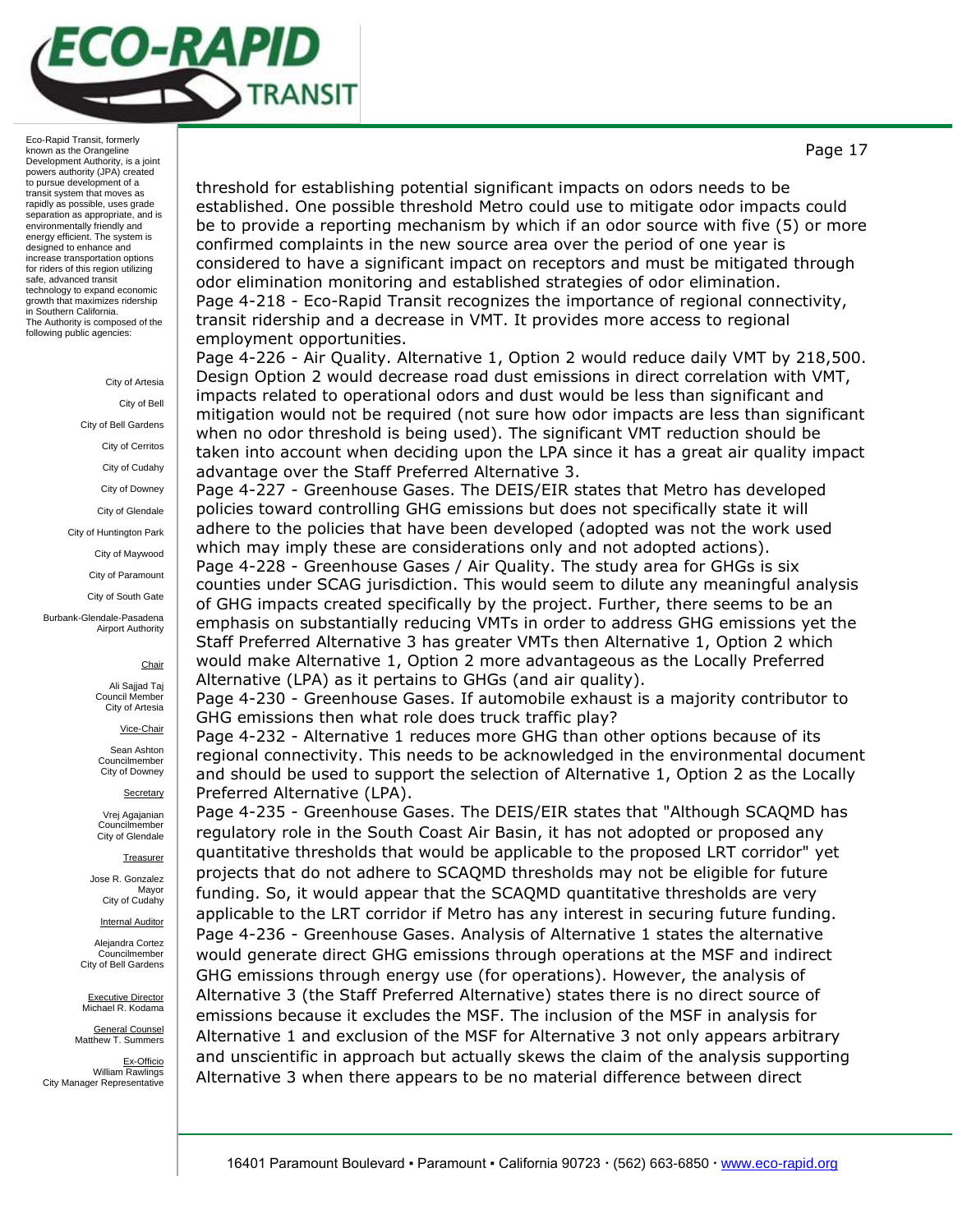

> City of Artesia City of Bell City of Bell Gardens City of Cerritos City of Cudahy City of Downey City of Glendale City of Huntington Park City of Maywood City of Paramount City of South Gate

Burbank-Glendale-Pasadena Airport Authority

### **Chair**

Ali Sajjad Taj Council Membe City of Artesia

Vice-Chair

Sean Ashton Councilmember City of Downey

**Secretary** 

Vrej Agajanian Councilmember City of Glendale

**Treasurer** 

Jose R. Gonzalez Mayor City of Cudahy

Internal Auditor

Alejandra Cortez Councilmember City of Bell Gardens

Executive Director Michael R. Kodama

General Counsel Matthew T. Summers

Ex-Officio William Rawlings City Manager Representative

threshold for establishing potential significant impacts on odors needs to be established. One possible threshold Metro could use to mitigate odor impacts could be to provide a reporting mechanism by which if an odor source with five (5) or more confirmed complaints in the new source area over the period of one year is considered to have a significant impact on receptors and must be mitigated through odor elimination monitoring and established strategies of odor elimination. Page 4-218 - Eco-Rapid Transit recognizes the importance of regional connectivity, transit ridership and a decrease in VMT. It provides more access to regional employment opportunities.

Page 4-226 - Air Quality. Alternative 1, Option 2 would reduce daily VMT by 218,500. Design Option 2 would decrease road dust emissions in direct correlation with VMT, impacts related to operational odors and dust would be less than significant and mitigation would not be required (not sure how odor impacts are less than significant when no odor threshold is being used). The significant VMT reduction should be taken into account when deciding upon the LPA since it has a great air quality impact advantage over the Staff Preferred Alternative 3.

Page 4-227 - Greenhouse Gases. The DEIS/EIR states that Metro has developed policies toward controlling GHG emissions but does not specifically state it will adhere to the policies that have been developed (adopted was not the work used which may imply these are considerations only and not adopted actions).

Page 4-228 - Greenhouse Gases / Air Quality. The study area for GHGs is six counties under SCAG jurisdiction. This would seem to dilute any meaningful analysis of GHG impacts created specifically by the project. Further, there seems to be an emphasis on substantially reducing VMTs in order to address GHG emissions yet the Staff Preferred Alternative 3 has greater VMTs then Alternative 1, Option 2 which would make Alternative 1, Option 2 more advantageous as the Locally Preferred Alternative (LPA) as it pertains to GHGs (and air quality).

Page 4-230 - Greenhouse Gases. If automobile exhaust is a majority contributor to GHG emissions then what role does truck traffic play?

Page 4-232 - Alternative 1 reduces more GHG than other options because of its regional connectivity. This needs to be acknowledged in the environmental document and should be used to support the selection of Alternative 1, Option 2 as the Locally Preferred Alternative (LPA).

Page 4-235 - Greenhouse Gases. The DEIS/EIR states that "Although SCAQMD has regulatory role in the South Coast Air Basin, it has not adopted or proposed any quantitative thresholds that would be applicable to the proposed LRT corridor" yet projects that do not adhere to SCAQMD thresholds may not be eligible for future funding. So, it would appear that the SCAQMD quantitative thresholds are very applicable to the LRT corridor if Metro has any interest in securing future funding. Page 4-236 - Greenhouse Gases. Analysis of Alternative 1 states the alternative would generate direct GHG emissions through operations at the MSF and indirect GHG emissions through energy use (for operations). However, the analysis of Alternative 3 (the Staff Preferred Alternative) states there is no direct source of emissions because it excludes the MSF. The inclusion of the MSF in analysis for Alternative 1 and exclusion of the MSF for Alternative 3 not only appears arbitrary and unscientific in approach but actually skews the claim of the analysis supporting Alternative 3 when there appears to be no material difference between direct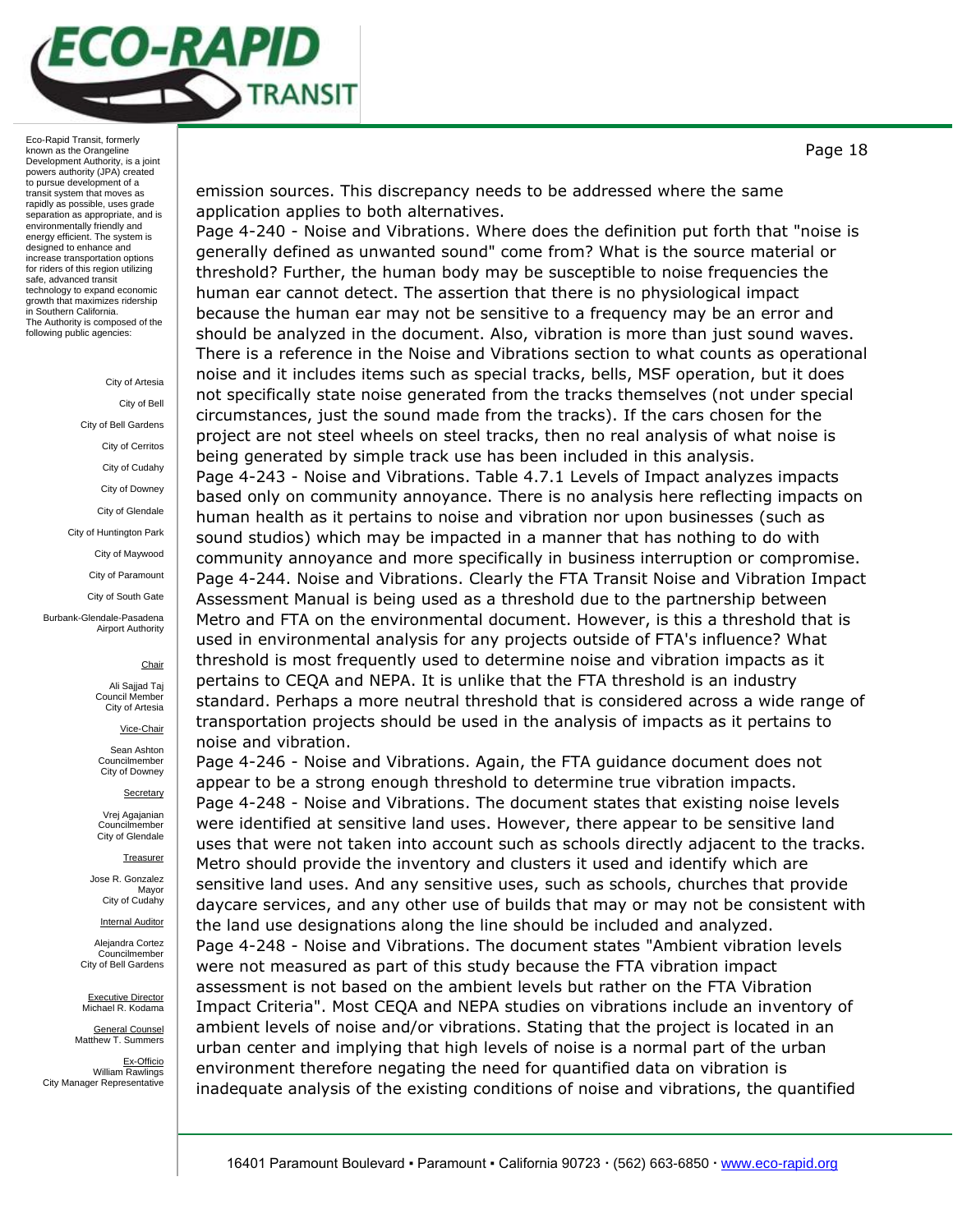

#### City of Artesia

City of Bell City of Bell Gardens City of Cerritos City of Cudahy City of Downey City of Glendale City of Huntington Park City of Maywood City of Paramount City of South Gate Burbank-Glendale-Pasadena Airport Authority

#### **Chair**

Ali Sajjad Taj Council Member City of Artesia

Vice-Chair

Sean Ashton Councilmember City of Downey

**Secretary** 

Vrej Agajanian Councilmember City of Glendale

**Treasurer** 

Jose R. Gonzalez Mayor City of Cudahy

Internal Auditor

Alejandra Cortez Councilmember City of Bell Gardens

Executive Director Michael R. Kodama

General Counsel Matthew T. Summers

Ex-Officio William Rawlings City Manager Representative

emission sources. This discrepancy needs to be addressed where the same application applies to both alternatives.

Page 4-240 - Noise and Vibrations. Where does the definition put forth that "noise is generally defined as unwanted sound" come from? What is the source material or threshold? Further, the human body may be susceptible to noise frequencies the human ear cannot detect. The assertion that there is no physiological impact because the human ear may not be sensitive to a frequency may be an error and should be analyzed in the document. Also, vibration is more than just sound waves. There is a reference in the Noise and Vibrations section to what counts as operational noise and it includes items such as special tracks, bells, MSF operation, but it does not specifically state noise generated from the tracks themselves (not under special circumstances, just the sound made from the tracks). If the cars chosen for the project are not steel wheels on steel tracks, then no real analysis of what noise is being generated by simple track use has been included in this analysis. Page 4-243 - Noise and Vibrations. Table 4.7.1 Levels of Impact analyzes impacts based only on community annoyance. There is no analysis here reflecting impacts on human health as it pertains to noise and vibration nor upon businesses (such as sound studios) which may be impacted in a manner that has nothing to do with community annoyance and more specifically in business interruption or compromise. Page 4-244. Noise and Vibrations. Clearly the FTA Transit Noise and Vibration Impact Assessment Manual is being used as a threshold due to the partnership between Metro and FTA on the environmental document. However, is this a threshold that is used in environmental analysis for any projects outside of FTA's influence? What threshold is most frequently used to determine noise and vibration impacts as it pertains to CEQA and NEPA. It is unlike that the FTA threshold is an industry standard. Perhaps a more neutral threshold that is considered across a wide range of transportation projects should be used in the analysis of impacts as it pertains to noise and vibration.

Page 4-246 - Noise and Vibrations. Again, the FTA guidance document does not appear to be a strong enough threshold to determine true vibration impacts. Page 4-248 - Noise and Vibrations. The document states that existing noise levels were identified at sensitive land uses. However, there appear to be sensitive land uses that were not taken into account such as schools directly adjacent to the tracks. Metro should provide the inventory and clusters it used and identify which are sensitive land uses. And any sensitive uses, such as schools, churches that provide daycare services, and any other use of builds that may or may not be consistent with the land use designations along the line should be included and analyzed. Page 4-248 - Noise and Vibrations. The document states "Ambient vibration levels were not measured as part of this study because the FTA vibration impact assessment is not based on the ambient levels but rather on the FTA Vibration Impact Criteria". Most CEQA and NEPA studies on vibrations include an inventory of ambient levels of noise and/or vibrations. Stating that the project is located in an urban center and implying that high levels of noise is a normal part of the urban environment therefore negating the need for quantified data on vibration is inadequate analysis of the existing conditions of noise and vibrations, the quantified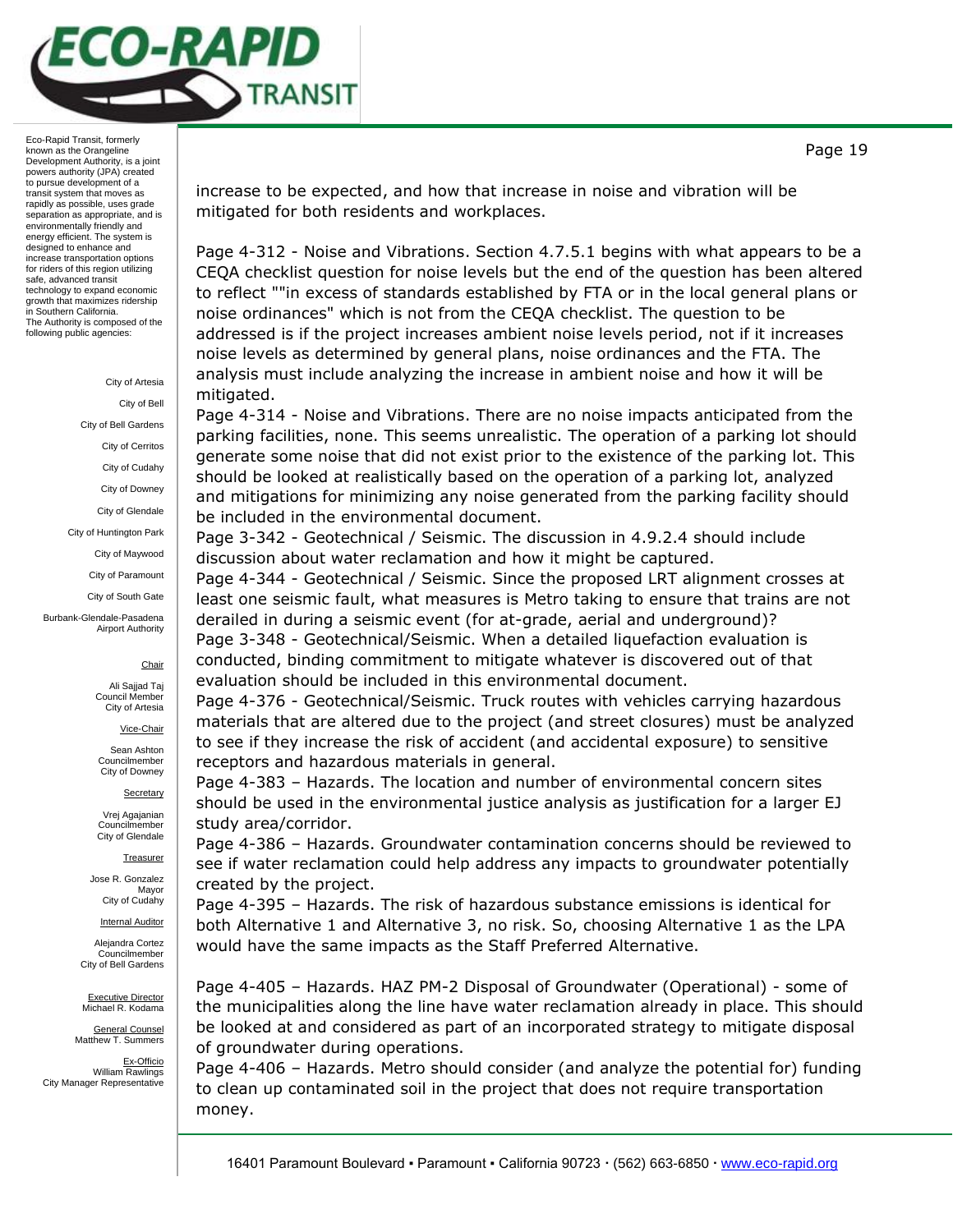

# City of Artesia City of Bell City of Bell Gardens City of Cerritos City of Cudahy City of Downey City of Glendale City of Huntington Park City of Maywood City of Paramount City of South Gate

Burbank-Glendale-Pasadena Airport Authority

## **Chair**

Ali Sajjad Taj Council Member City of Artesia

Vice-Chair

Sean Ashton Councilmember City of Downey

**Secretary** 

Vrej Agajanian Councilmember City of Glendale

**Treasurer** 

Jose R. Gonzalez Mayor City of Cudahy

**Internal Auditor** 

Alejandra Cortez Councilmember City of Bell Gardens

Executive Director Michael R. Kodama

General Counsel Matthew T. Summers

Ex-Officio William Rawlings City Manager Representative

increase to be expected, and how that increase in noise and vibration will be mitigated for both residents and workplaces.

Page 4-312 - Noise and Vibrations. Section 4.7.5.1 begins with what appears to be a CEQA checklist question for noise levels but the end of the question has been altered to reflect ""in excess of standards established by FTA or in the local general plans or noise ordinances" which is not from the CEQA checklist. The question to be addressed is if the project increases ambient noise levels period, not if it increases noise levels as determined by general plans, noise ordinances and the FTA. The analysis must include analyzing the increase in ambient noise and how it will be mitigated.

Page 4-314 - Noise and Vibrations. There are no noise impacts anticipated from the parking facilities, none. This seems unrealistic. The operation of a parking lot should generate some noise that did not exist prior to the existence of the parking lot. This should be looked at realistically based on the operation of a parking lot, analyzed and mitigations for minimizing any noise generated from the parking facility should be included in the environmental document.

Page 3-342 - Geotechnical / Seismic. The discussion in 4.9.2.4 should include discussion about water reclamation and how it might be captured.

Page 4-344 - Geotechnical / Seismic. Since the proposed LRT alignment crosses at least one seismic fault, what measures is Metro taking to ensure that trains are not derailed in during a seismic event (for at-grade, aerial and underground)?

Page 3-348 - Geotechnical/Seismic. When a detailed liquefaction evaluation is conducted, binding commitment to mitigate whatever is discovered out of that evaluation should be included in this environmental document.

Page 4-376 - Geotechnical/Seismic. Truck routes with vehicles carrying hazardous materials that are altered due to the project (and street closures) must be analyzed to see if they increase the risk of accident (and accidental exposure) to sensitive receptors and hazardous materials in general.

Page 4-383 – Hazards. The location and number of environmental concern sites should be used in the environmental justice analysis as justification for a larger EJ study area/corridor.

Page 4-386 – Hazards. Groundwater contamination concerns should be reviewed to see if water reclamation could help address any impacts to groundwater potentially created by the project.

Page 4-395 – Hazards. The risk of hazardous substance emissions is identical for both Alternative 1 and Alternative 3, no risk. So, choosing Alternative 1 as the LPA would have the same impacts as the Staff Preferred Alternative.

Page 4-405 – Hazards. HAZ PM-2 Disposal of Groundwater (Operational) - some of the municipalities along the line have water reclamation already in place. This should be looked at and considered as part of an incorporated strategy to mitigate disposal of groundwater during operations.

Page 4-406 – Hazards. Metro should consider (and analyze the potential for) funding to clean up contaminated soil in the project that does not require transportation money.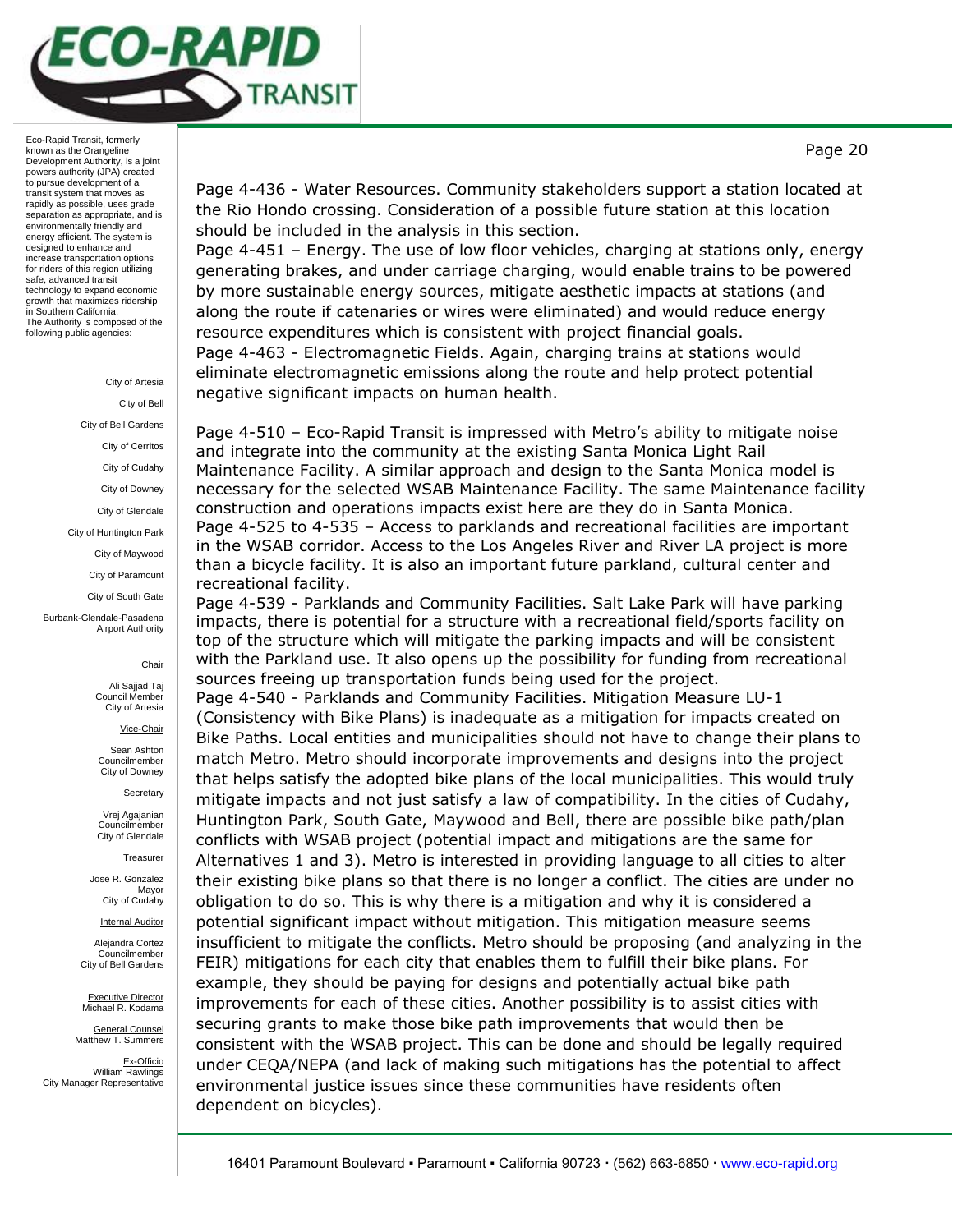

# City of Bell City of Bell Gardens City of Cerritos City of Cudahy City of Downey City of Glendale City of Huntington Park City of Maywood

City of Artesia

City of Paramount

City of South Gate

Burbank-Glendale-Pasadena Airport Authority

### **Chair**

Ali Sajjad Taj Council Membe City of Artesia

Vice-Chair

Sean Ashton Councilmember City of Downey

**Secretary** 

Vrej Agajanian Councilmember City of Glendale

**Treasurer** 

Jose R. Gonzalez Mayor City of Cudahy

**Internal Auditor** 

Alejandra Cortez Councilmember City of Bell Gardens

Executive Director Michael R. Kodama

General Counsel Matthew T. Summers

Ex-Officio William Rawlings City Manager Representative Page 4-436 - Water Resources. Community stakeholders support a station located at the Rio Hondo crossing. Consideration of a possible future station at this location should be included in the analysis in this section.

Page 4-451 – Energy. The use of low floor vehicles, charging at stations only, energy generating brakes, and under carriage charging, would enable trains to be powered by more sustainable energy sources, mitigate aesthetic impacts at stations (and along the route if catenaries or wires were eliminated) and would reduce energy resource expenditures which is consistent with project financial goals. Page 4-463 - Electromagnetic Fields. Again, charging trains at stations would eliminate electromagnetic emissions along the route and help protect potential negative significant impacts on human health.

Page 4-510 – Eco-Rapid Transit is impressed with Metro's ability to mitigate noise and integrate into the community at the existing Santa Monica Light Rail Maintenance Facility. A similar approach and design to the Santa Monica model is necessary for the selected WSAB Maintenance Facility. The same Maintenance facility construction and operations impacts exist here are they do in Santa Monica. Page 4-525 to 4-535 – Access to parklands and recreational facilities are important in the WSAB corridor. Access to the Los Angeles River and River LA project is more than a bicycle facility. It is also an important future parkland, cultural center and recreational facility.

Page 4-539 - Parklands and Community Facilities. Salt Lake Park will have parking impacts, there is potential for a structure with a recreational field/sports facility on top of the structure which will mitigate the parking impacts and will be consistent with the Parkland use. It also opens up the possibility for funding from recreational sources freeing up transportation funds being used for the project.

Page 4-540 - Parklands and Community Facilities. Mitigation Measure LU-1 (Consistency with Bike Plans) is inadequate as a mitigation for impacts created on Bike Paths. Local entities and municipalities should not have to change their plans to match Metro. Metro should incorporate improvements and designs into the project that helps satisfy the adopted bike plans of the local municipalities. This would truly mitigate impacts and not just satisfy a law of compatibility. In the cities of Cudahy, Huntington Park, South Gate, Maywood and Bell, there are possible bike path/plan conflicts with WSAB project (potential impact and mitigations are the same for Alternatives 1 and 3). Metro is interested in providing language to all cities to alter their existing bike plans so that there is no longer a conflict. The cities are under no obligation to do so. This is why there is a mitigation and why it is considered a potential significant impact without mitigation. This mitigation measure seems insufficient to mitigate the conflicts. Metro should be proposing (and analyzing in the FEIR) mitigations for each city that enables them to fulfill their bike plans. For example, they should be paying for designs and potentially actual bike path improvements for each of these cities. Another possibility is to assist cities with securing grants to make those bike path improvements that would then be consistent with the WSAB project. This can be done and should be legally required under CEQA/NEPA (and lack of making such mitigations has the potential to affect environmental justice issues since these communities have residents often dependent on bicycles).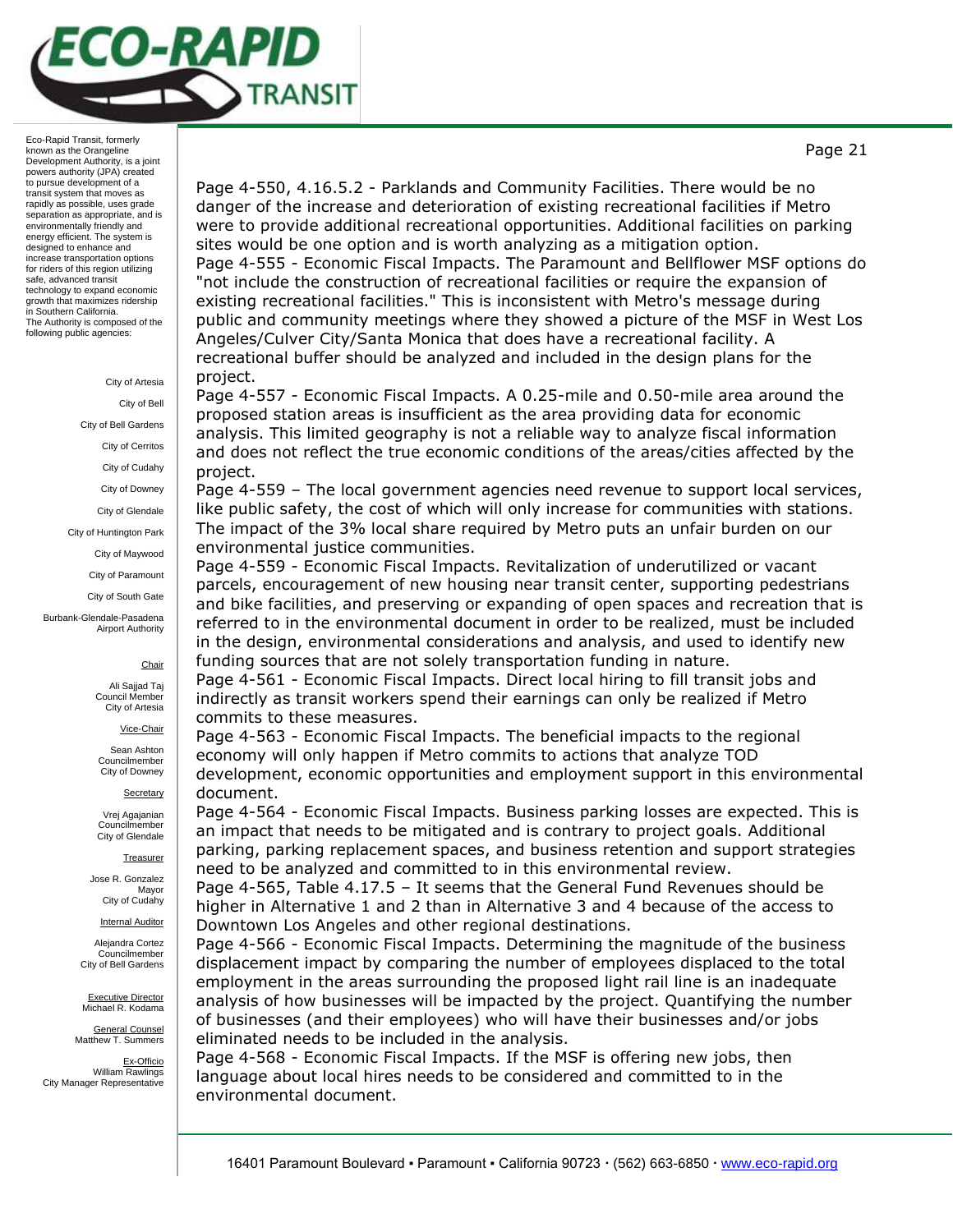

City of Artesia

City of Bell

City of Bell Gardens

City of Cerritos City of Cudahy

City of Downey

City of Glendale

City of Huntington Park

City of Maywood

City of Paramount

City of South Gate

Burbank-Glendale-Pasadena Airport Authority

### **Chair**

Ali Sajjad Taj Council Member City of Artesia

Vice-Chair

Sean Ashton Councilmember City of Downey

**Secretary** 

Vrej Agajanian Councilmember City of Glendale

**Treasurer** 

Jose R. Gonzalez Mayor City of Cudahy

Internal Auditor

Alejandra Cortez Councilmember City of Bell Gardens

Executive Director Michael R. Kodama

General Counsel Matthew T. Summers

Ex-Officio William Rawlings City Manager Representative

Page 4-550, 4.16.5.2 - Parklands and Community Facilities. There would be no danger of the increase and deterioration of existing recreational facilities if Metro were to provide additional recreational opportunities. Additional facilities on parking sites would be one option and is worth analyzing as a mitigation option. Page 4-555 - Economic Fiscal Impacts. The Paramount and Bellflower MSF options do "not include the construction of recreational facilities or require the expansion of existing recreational facilities." This is inconsistent with Metro's message during public and community meetings where they showed a picture of the MSF in West Los Angeles/Culver City/Santa Monica that does have a recreational facility. A recreational buffer should be analyzed and included in the design plans for the project.

Page 4-557 - Economic Fiscal Impacts. A 0.25-mile and 0.50-mile area around the proposed station areas is insufficient as the area providing data for economic analysis. This limited geography is not a reliable way to analyze fiscal information and does not reflect the true economic conditions of the areas/cities affected by the project.

Page 4-559 – The local government agencies need revenue to support local services, like public safety, the cost of which will only increase for communities with stations. The impact of the 3% local share required by Metro puts an unfair burden on our environmental justice communities.

Page 4-559 - Economic Fiscal Impacts. Revitalization of underutilized or vacant parcels, encouragement of new housing near transit center, supporting pedestrians and bike facilities, and preserving or expanding of open spaces and recreation that is referred to in the environmental document in order to be realized, must be included in the design, environmental considerations and analysis, and used to identify new funding sources that are not solely transportation funding in nature.

Page 4-561 - Economic Fiscal Impacts. Direct local hiring to fill transit jobs and indirectly as transit workers spend their earnings can only be realized if Metro commits to these measures.

Page 4-563 - Economic Fiscal Impacts. The beneficial impacts to the regional economy will only happen if Metro commits to actions that analyze TOD development, economic opportunities and employment support in this environmental document.

Page 4-564 - Economic Fiscal Impacts. Business parking losses are expected. This is an impact that needs to be mitigated and is contrary to project goals. Additional parking, parking replacement spaces, and business retention and support strategies need to be analyzed and committed to in this environmental review.

Page 4-565, Table 4.17.5 – It seems that the General Fund Revenues should be higher in Alternative 1 and 2 than in Alternative 3 and 4 because of the access to Downtown Los Angeles and other regional destinations.

Page 4-566 - Economic Fiscal Impacts. Determining the magnitude of the business displacement impact by comparing the number of employees displaced to the total employment in the areas surrounding the proposed light rail line is an inadequate analysis of how businesses will be impacted by the project. Quantifying the number of businesses (and their employees) who will have their businesses and/or jobs eliminated needs to be included in the analysis.

Page 4-568 - Economic Fiscal Impacts. If the MSF is offering new jobs, then language about local hires needs to be considered and committed to in the environmental document.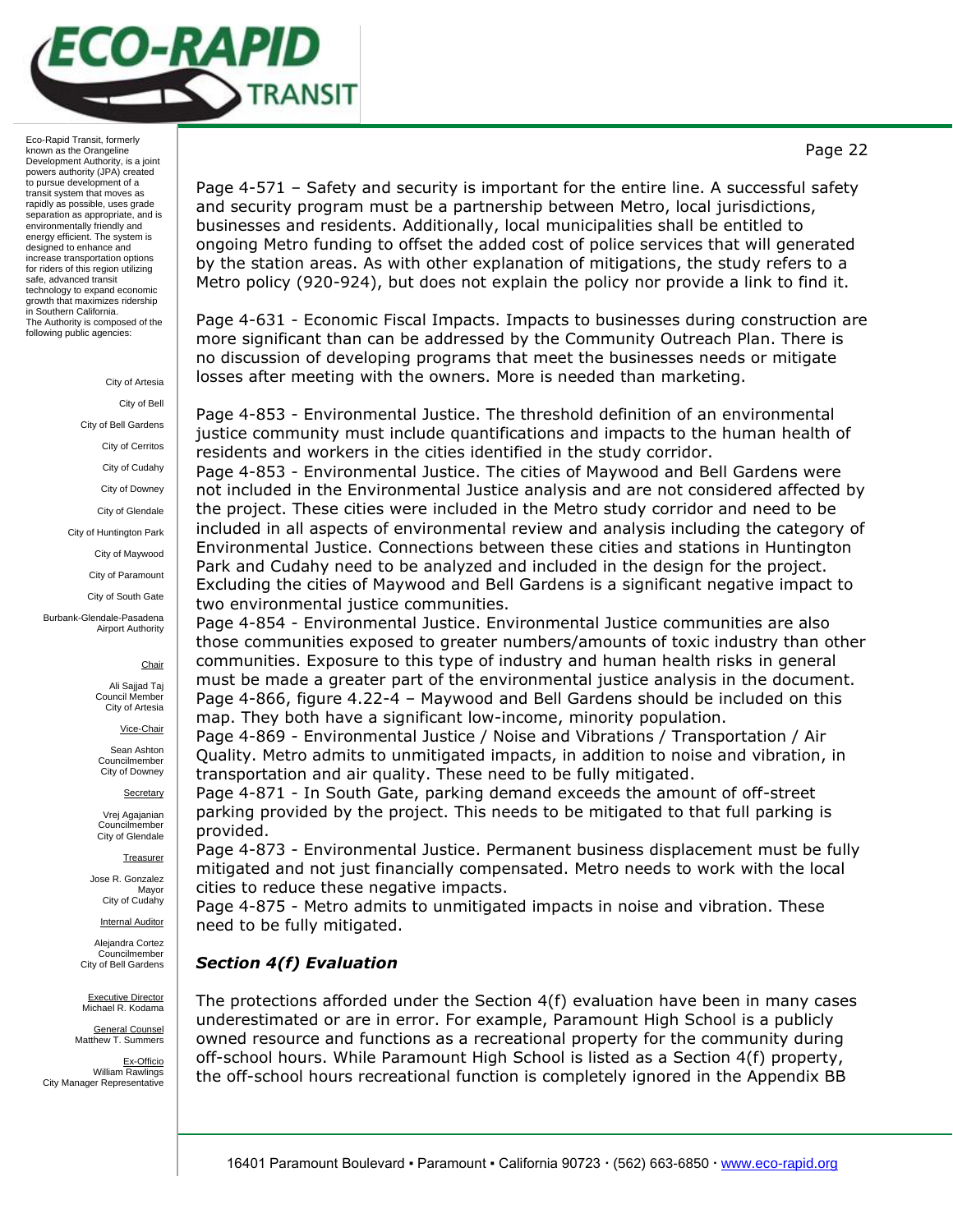

#### City of Artesia

City of Bell City of Bell Gardens City of Cerritos City of Cudahy City of Downey City of Glendale City of Huntington Park City of Maywood City of Paramount City of South Gate Burbank-Glendale-Pasadena Airport Authority

#### **Chair**

Ali Sajjad Taj Council Member City of Artesia

Vice-Chair

Sean Ashton Councilmember City of Downey

**Secretary** 

Vrej Agajanian Councilmember City of Glendale

**Treasurer** 

Jose R. Gonzalez Mayor City of Cudahy

Internal Auditor

Alejandra Cortez Councilmember City of Bell Gardens

Executive Director Michael R. Kodama

General Counsel Matthew T. Summers

Ex-Officio William Rawlings City Manager Representative

Page 4-571 – Safety and security is important for the entire line. A successful safety and security program must be a partnership between Metro, local jurisdictions, businesses and residents. Additionally, local municipalities shall be entitled to ongoing Metro funding to offset the added cost of police services that will generated by the station areas. As with other explanation of mitigations, the study refers to a Metro policy (920-924), but does not explain the policy nor provide a link to find it.

Page 4-631 - Economic Fiscal Impacts. Impacts to businesses during construction are more significant than can be addressed by the Community Outreach Plan. There is no discussion of developing programs that meet the businesses needs or mitigate losses after meeting with the owners. More is needed than marketing.

Page 4-853 - Environmental Justice. The threshold definition of an environmental justice community must include quantifications and impacts to the human health of residents and workers in the cities identified in the study corridor.

Page 4-853 - Environmental Justice. The cities of Maywood and Bell Gardens were not included in the Environmental Justice analysis and are not considered affected by the project. These cities were included in the Metro study corridor and need to be included in all aspects of environmental review and analysis including the category of Environmental Justice. Connections between these cities and stations in Huntington Park and Cudahy need to be analyzed and included in the design for the project. Excluding the cities of Maywood and Bell Gardens is a significant negative impact to two environmental justice communities.

Page 4-854 - Environmental Justice. Environmental Justice communities are also those communities exposed to greater numbers/amounts of toxic industry than other communities. Exposure to this type of industry and human health risks in general must be made a greater part of the environmental justice analysis in the document. Page 4-866, figure 4.22-4 – Maywood and Bell Gardens should be included on this map. They both have a significant low-income, minority population.

Page 4-869 - Environmental Justice / Noise and Vibrations / Transportation / Air Quality. Metro admits to unmitigated impacts, in addition to noise and vibration, in transportation and air quality. These need to be fully mitigated.

Page 4-871 - In South Gate, parking demand exceeds the amount of off-street parking provided by the project. This needs to be mitigated to that full parking is provided.

Page 4-873 - Environmental Justice. Permanent business displacement must be fully mitigated and not just financially compensated. Metro needs to work with the local cities to reduce these negative impacts.

Page 4-875 - Metro admits to unmitigated impacts in noise and vibration. These need to be fully mitigated.

## *Section 4(f) Evaluation*

The protections afforded under the Section 4(f) evaluation have been in many cases underestimated or are in error. For example, Paramount High School is a publicly owned resource and functions as a recreational property for the community during off-school hours. While Paramount High School is listed as a Section 4(f) property, the off-school hours recreational function is completely ignored in the Appendix BB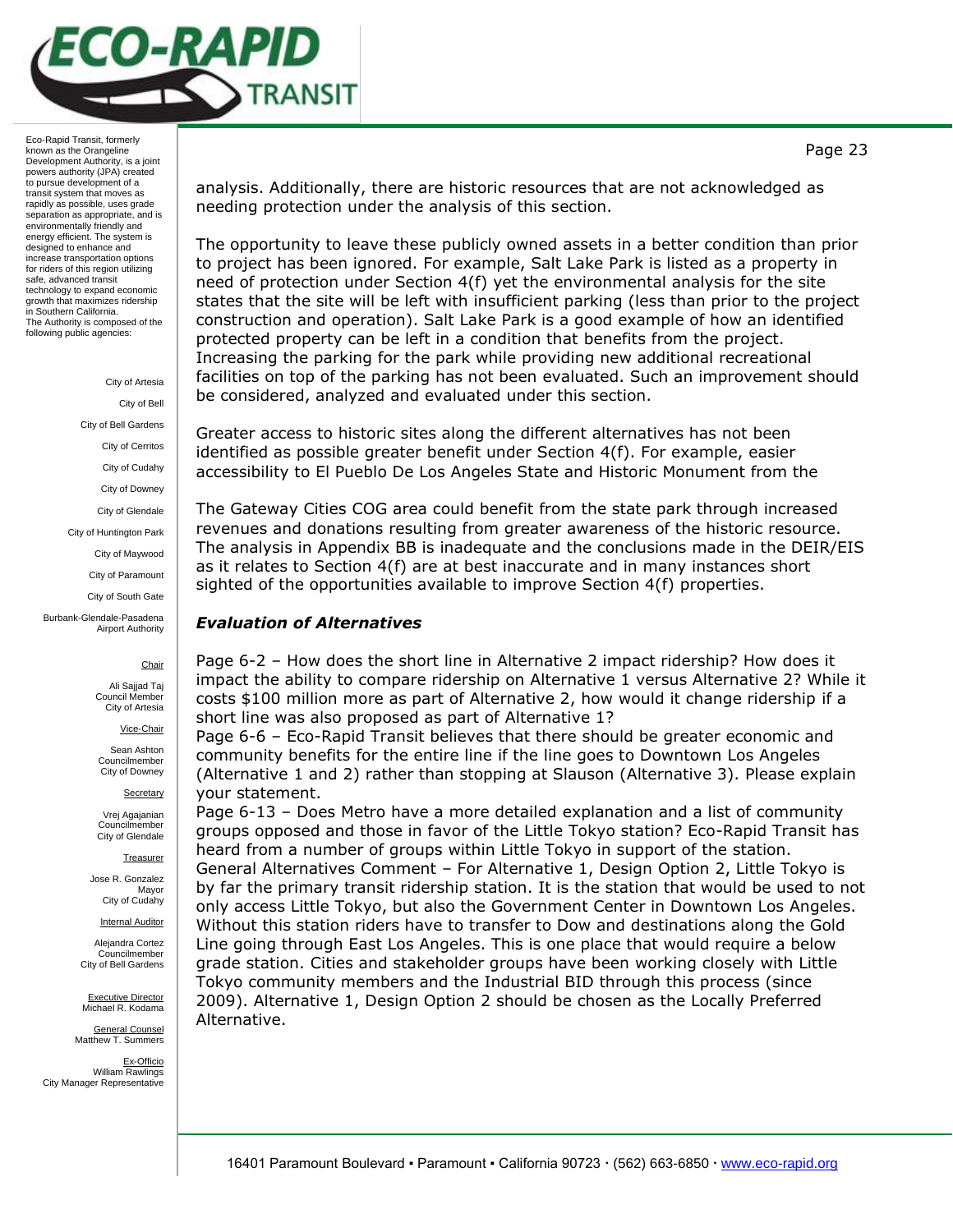

> City of Artesia City of Bell City of Bell Gardens City of Cerritos City of Cudahy City of Downey City of Glendale City of Huntington Park City of Maywood City of Paramount City of South Gate

#### Burbank-Glendale-Pasadena Airport Authority

**Chair** 

Ali Sajjad Taj Council Member City of Artesia

Vice-Chair

Sean Ashton Councilmember City of Downey

**Secretary** 

Vrej Agajanian Councilmember City of Glendale

**Treasurer** 

Jose R. Gonzalez Mayor City of Cudahy

Internal Auditor

Alejandra Cortez Councilmember City of Bell Gardens

Executive Director Michael R. Kodama

General Counsel Matthew T. Summers

Ex-Officio William Rawlings City Manager Representative

analysis. Additionally, there are historic resources that are not acknowledged as needing protection under the analysis of this section.

The opportunity to leave these publicly owned assets in a better condition than prior to project has been ignored. For example, Salt Lake Park is listed as a property in need of protection under Section 4(f) yet the environmental analysis for the site states that the site will be left with insufficient parking (less than prior to the project construction and operation). Salt Lake Park is a good example of how an identified protected property can be left in a condition that benefits from the project. Increasing the parking for the park while providing new additional recreational facilities on top of the parking has not been evaluated. Such an improvement should be considered, analyzed and evaluated under this section.

Greater access to historic sites along the different alternatives has not been identified as possible greater benefit under Section 4(f). For example, easier accessibility to El Pueblo De Los Angeles State and Historic Monument from the

The Gateway Cities COG area could benefit from the state park through increased revenues and donations resulting from greater awareness of the historic resource. The analysis in Appendix BB is inadequate and the conclusions made in the DEIR/EIS as it relates to Section 4(f) are at best inaccurate and in many instances short sighted of the opportunities available to improve Section 4(f) properties.

# *Evaluation of Alternatives*

Page 6-2 – How does the short line in Alternative 2 impact ridership? How does it impact the ability to compare ridership on Alternative 1 versus Alternative 2? While it costs \$100 million more as part of Alternative 2, how would it change ridership if a short line was also proposed as part of Alternative 1?

Page 6-6 – Eco-Rapid Transit believes that there should be greater economic and community benefits for the entire line if the line goes to Downtown Los Angeles (Alternative 1 and 2) rather than stopping at Slauson (Alternative 3). Please explain your statement.

Page 6-13 – Does Metro have a more detailed explanation and a list of community groups opposed and those in favor of the Little Tokyo station? Eco-Rapid Transit has heard from a number of groups within Little Tokyo in support of the station. General Alternatives Comment – For Alternative 1, Design Option 2, Little Tokyo is by far the primary transit ridership station. It is the station that would be used to not only access Little Tokyo, but also the Government Center in Downtown Los Angeles. Without this station riders have to transfer to Dow and destinations along the Gold Line going through East Los Angeles. This is one place that would require a below grade station. Cities and stakeholder groups have been working closely with Little Tokyo community members and the Industrial BID through this process (since 2009). Alternative 1, Design Option 2 should be chosen as the Locally Preferred Alternative.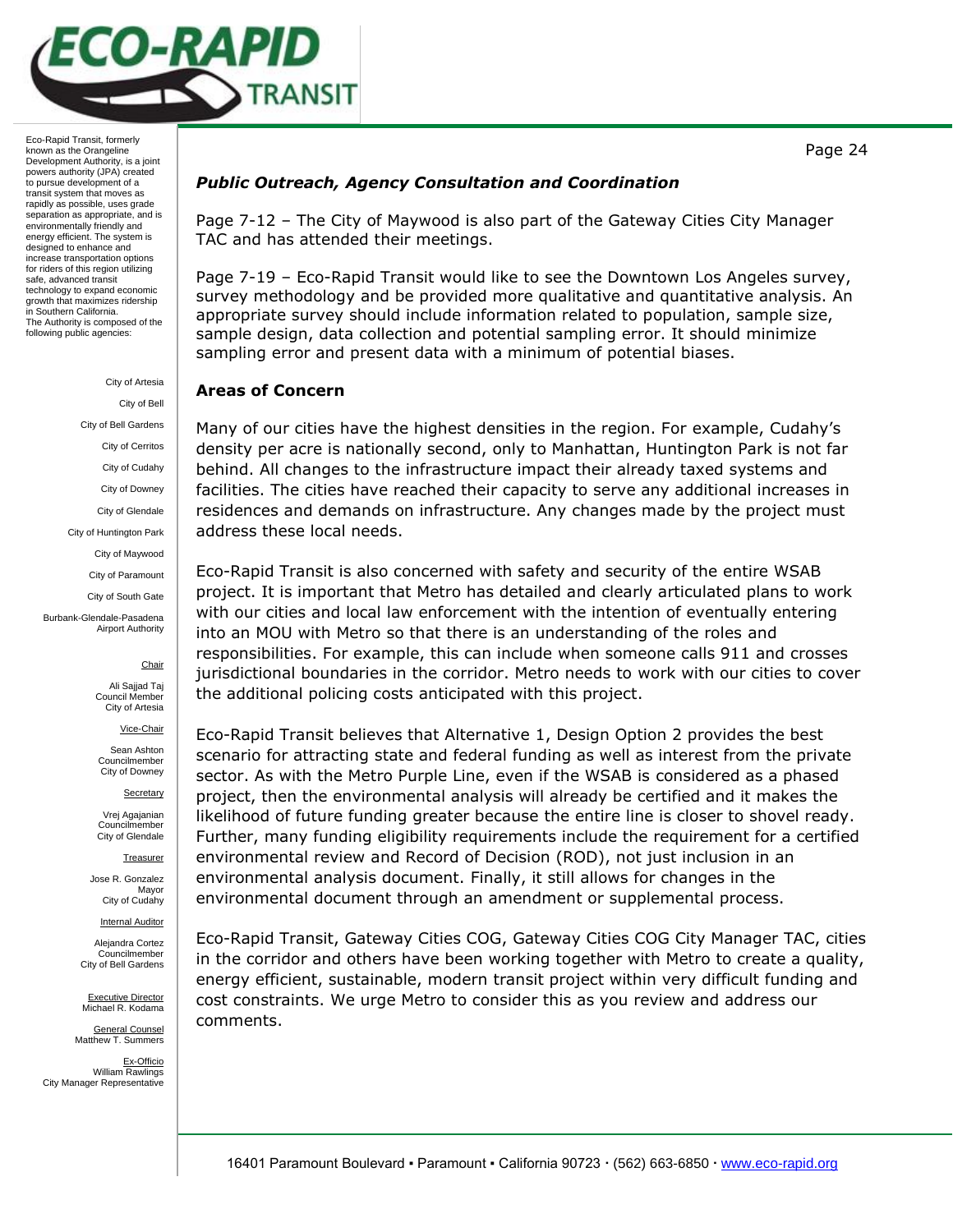

> City of Artesia City of Bell City of Bell Gardens City of Cerritos City of Cudahy City of Downey City of Glendale City of Huntington Park City of Maywood City of Paramount City of South Gate Burbank-Glendale-Pasadena Airport Authority

> > **Chair**

Ali Sajjad Taj Council Member City of Artesia

Vice-Chair

Sean Ashton Councilmember City of Downey

**Secretary** 

Vrej Agajanian Councilmember City of Glendale

**Treasurer** 

Jose R. Gonzalez Mayor City of Cudahy

Internal Auditor

Alejandra Cortez Councilmember City of Bell Gardens

Executive Director Michael R. Kodama

General Counsel Matthew T. Summers

Ex-Officio William Rawlings City Manager Representative

## *Public Outreach, Agency Consultation and Coordination*

Page 7-12 – The City of Maywood is also part of the Gateway Cities City Manager TAC and has attended their meetings.

Page 7-19 – Eco-Rapid Transit would like to see the Downtown Los Angeles survey, survey methodology and be provided more qualitative and quantitative analysis. An appropriate survey should include information related to population, sample size, sample design, data collection and potential sampling error. It should minimize sampling error and present data with a minimum of potential biases.

## **Areas of Concern**

Many of our cities have the highest densities in the region. For example, Cudahy's density per acre is nationally second, only to Manhattan, Huntington Park is not far behind. All changes to the infrastructure impact their already taxed systems and facilities. The cities have reached their capacity to serve any additional increases in residences and demands on infrastructure. Any changes made by the project must address these local needs.

Eco-Rapid Transit is also concerned with safety and security of the entire WSAB project. It is important that Metro has detailed and clearly articulated plans to work with our cities and local law enforcement with the intention of eventually entering into an MOU with Metro so that there is an understanding of the roles and responsibilities. For example, this can include when someone calls 911 and crosses jurisdictional boundaries in the corridor. Metro needs to work with our cities to cover the additional policing costs anticipated with this project.

Eco-Rapid Transit believes that Alternative 1, Design Option 2 provides the best scenario for attracting state and federal funding as well as interest from the private sector. As with the Metro Purple Line, even if the WSAB is considered as a phased project, then the environmental analysis will already be certified and it makes the likelihood of future funding greater because the entire line is closer to shovel ready. Further, many funding eligibility requirements include the requirement for a certified environmental review and Record of Decision (ROD), not just inclusion in an environmental analysis document. Finally, it still allows for changes in the environmental document through an amendment or supplemental process.

Eco-Rapid Transit, Gateway Cities COG, Gateway Cities COG City Manager TAC, cities in the corridor and others have been working together with Metro to create a quality, energy efficient, sustainable, modern transit project within very difficult funding and cost constraints. We urge Metro to consider this as you review and address our comments.